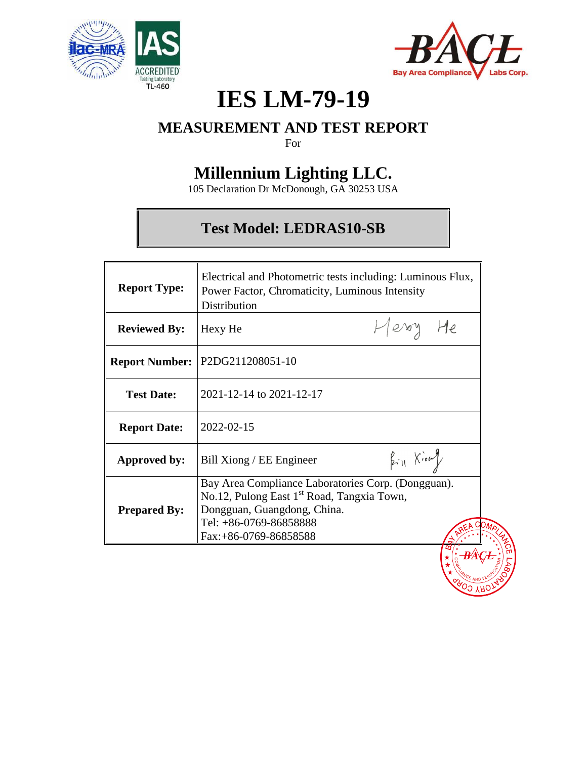



# **IES LM-79-19**

## **MEASUREMENT AND TEST REPORT**

For

## **Millennium Lighting LLC.**

105 Declaration Dr McDonough, GA 30253 USA

## **Test Model: LEDRAS10-SB**

| <b>Report Type:</b> | Electrical and Photometric tests including: Luminous Flux,<br>Power Factor, Chromaticity, Luminous Intensity<br>Distribution                                                                   |  |
|---------------------|------------------------------------------------------------------------------------------------------------------------------------------------------------------------------------------------|--|
| <b>Reviewed By:</b> | Herry He<br>Hexy He                                                                                                                                                                            |  |
|                     | Report Number:   P2DG211208051-10                                                                                                                                                              |  |
| <b>Test Date:</b>   | 2021-12-14 to 2021-12-17                                                                                                                                                                       |  |
| <b>Report Date:</b> | 2022-02-15                                                                                                                                                                                     |  |
| Approved by:        | $k_{\text{H}}$ Kion<br>Bill Xiong / EE Engineer                                                                                                                                                |  |
| <b>Prepared By:</b> | Bay Area Compliance Laboratories Corp. (Dongguan).<br>No.12, Pulong East 1 <sup>st</sup> Road, Tangxia Town,<br>Dongguan, Guangdong, China.<br>Tel: +86-0769-86858888<br>Fax:+86-0769-86858588 |  |
|                     |                                                                                                                                                                                                |  |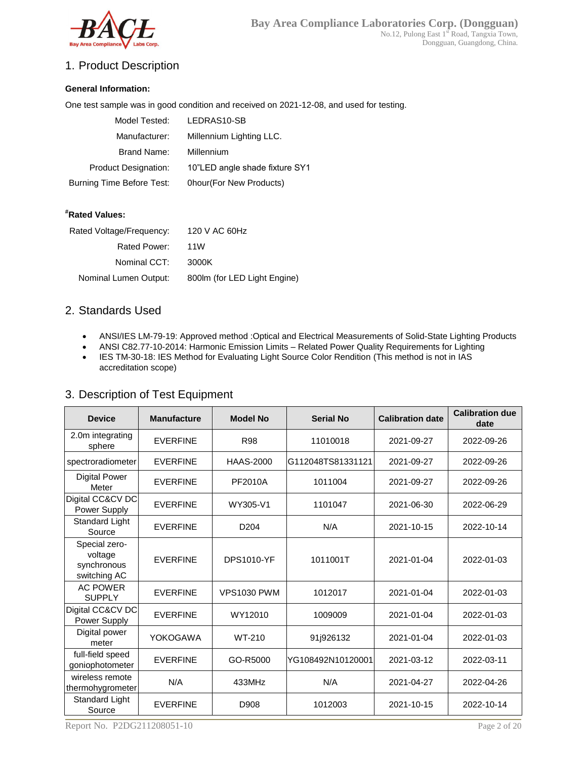

### 1. Product Description

#### **General Information:**

One test sample was in good condition and received on 2021-12-08, and used for testing.

| Model Tested:               | LEDRAS10-SB                    |
|-----------------------------|--------------------------------|
| Manufacturer:               | Millennium Lighting LLC.       |
| Brand Name:                 | Millennium                     |
| <b>Product Designation:</b> | 10"LED angle shade fixture SY1 |
| Burning Time Before Test:   | 0hour(For New Products)        |

#### **#Rated Values:**

| Rated Voltage/Frequency: | 120 V AC 60Hz                |
|--------------------------|------------------------------|
| Rated Power:             | 11W                          |
| Nominal CCT:             | 3000K                        |
| Nominal Lumen Output:    | 800lm (for LED Light Engine) |
|                          |                              |

#### 2. Standards Used

- ANSI/IES LM-79-19: Approved method :Optical and Electrical Measurements of Solid-State Lighting Products
- ANSI C82.77-10-2014: Harmonic Emission Limits Related Power Quality Requirements for Lighting
- IES TM-30-18: IES Method for Evaluating Light Source Color Rendition (This method is not in IAS accreditation scope)

| <b>Device</b>                    | <b>Manufacture</b> | <b>Model No</b>  | <b>Serial No</b>   | <b>Calibration date</b> | <b>Calibration due</b><br>date |
|----------------------------------|--------------------|------------------|--------------------|-------------------------|--------------------------------|
| 2.0m integrating<br>sphere       | <b>EVERFINE</b>    | <b>R98</b>       | 11010018           | 2021-09-27              | 2022-09-26                     |
| spectroradiometer                | <b>FVERFINE</b>    | <b>HAAS-2000</b> | IG112048TS81331121 | 2021-09-27              | 2022-09-26                     |
| <b>Digital Power</b><br>Meter    | <b>FVERFINE</b>    | PF2010A          | 1011004            | 2021-09-27              | 2022-09-26                     |
| Digital CC&CV DC<br>Power Supply | <b>FVERFINE</b>    | WY305-V1         | 1101047            | 2021-06-30              | 2022-06-29                     |
| Standard Light<br>Source         | <b>EVERFINE</b>    | D <sub>204</sub> | N/A                | 2021-10-15              | 2022-10-14                     |
|                                  |                    |                  |                    |                         |                                |

#### 3. Description of Test Equipment

| 2.0m integrating<br>sphere                              | <b>EVERFINE</b> | <b>R98</b>         | 11010018          | 2021-09-27 | 2022-09-26 |
|---------------------------------------------------------|-----------------|--------------------|-------------------|------------|------------|
| spectroradiometer                                       | <b>EVERFINE</b> | HAAS-2000          | G112048TS81331121 | 2021-09-27 | 2022-09-26 |
| <b>Digital Power</b><br>Meter                           | <b>EVERFINE</b> | PF2010A            | 1011004           | 2021-09-27 | 2022-09-26 |
| Digital CC&CV DC<br>Power Supply                        | <b>EVERFINE</b> | WY305-V1           | 1101047           | 2021-06-30 | 2022-06-29 |
| Standard Light<br>Source                                | <b>EVERFINE</b> | D <sub>204</sub>   | N/A               | 2021-10-15 | 2022-10-14 |
| Special zero-<br>voltage<br>synchronous<br>switching AC | <b>EVERFINE</b> | <b>DPS1010-YF</b>  | 1011001T          | 2021-01-04 | 2022-01-03 |
| <b>AC POWER</b><br><b>SUPPLY</b>                        | <b>EVERFINE</b> | <b>VPS1030 PWM</b> | 1012017           | 2021-01-04 | 2022-01-03 |
| Digital CC&CV DC<br>Power Supply                        | <b>EVERFINE</b> | WY12010            | 1009009           | 2021-01-04 | 2022-01-03 |
| Digital power<br>meter                                  | YOKOGAWA        | WT-210             | 91j926132         | 2021-01-04 | 2022-01-03 |
| full-field speed<br>goniophotometer                     | <b>EVERFINE</b> | GO-R5000           | YG108492N10120001 | 2021-03-12 | 2022-03-11 |
| wireless remote<br>thermohygrometer                     | N/A             | 433MHz             | N/A               | 2021-04-27 | 2022-04-26 |
| Standard Light<br>Source                                | <b>EVERFINE</b> | D908               | 1012003           | 2021-10-15 | 2022-10-14 |

Report No. P2DG211208051-10 Page 2 of 20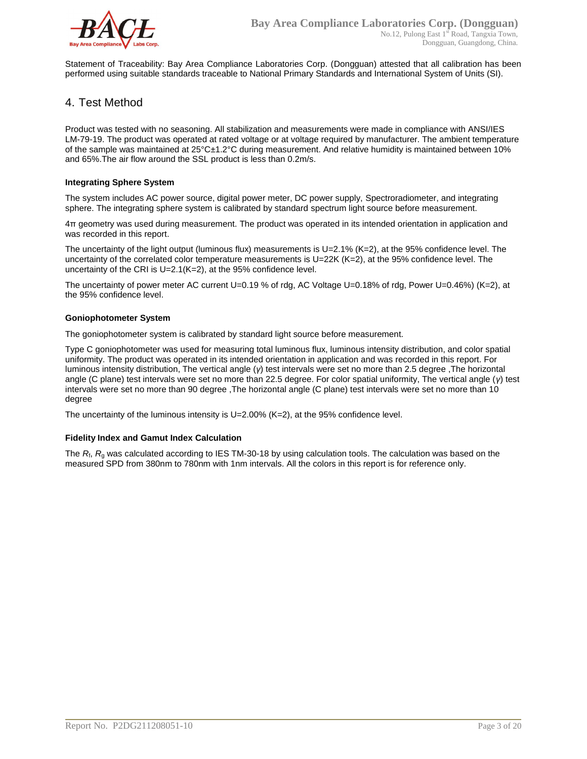

Statement of Traceability: Bay Area Compliance Laboratories Corp. (Dongguan) attested that all calibration has been performed using suitable standards traceable to National Primary Standards and International System of Units (SI).

#### 4. Test Method

Product was tested with no seasoning. All stabilization and measurements were made in compliance with ANSI/IES LM-79-19. The product was operated at rated voltage or at voltage required by manufacturer. The ambient temperature of the sample was maintained at 25°C±1.2°C during measurement. And relative humidity is maintained between 10% and 65%.The air flow around the SSL product is less than 0.2m/s.

#### **Integrating Sphere System**

The system includes AC power source, digital power meter, DC power supply, Spectroradiometer, and integrating sphere. The integrating sphere system is calibrated by standard spectrum light source before measurement.

4π geometry was used during measurement. The product was operated in its intended orientation in application and was recorded in this report.

The uncertainty of the light output (luminous flux) measurements is  $U=2.1\%$  (K=2), at the 95% confidence level. The uncertainty of the correlated color temperature measurements is U=22K (K=2), at the 95% confidence level. The uncertainty of the CRI is U=2.1(K=2), at the 95% confidence level.

The uncertainty of power meter AC current U=0.19 % of rdg, AC Voltage U=0.18% of rdg, Power U=0.46%) (K=2), at the 95% confidence level.

#### **Goniophotometer System**

The goniophotometer system is calibrated by standard light source before measurement.

Type C goniophotometer was used for measuring total luminous flux, luminous intensity distribution, and color spatial uniformity. The product was operated in its intended orientation in application and was recorded in this report. For luminous intensity distribution, The vertical angle (*γ*) test intervals were set no more than 2.5 degree ,The horizontal angle (C plane) test intervals were set no more than 22.5 degree. For color spatial uniformity, The vertical angle (*γ*) test intervals were set no more than 90 degree ,The horizontal angle (C plane) test intervals were set no more than 10 degree

The uncertainty of the luminous intensity is U=2.00% (K=2), at the 95% confidence level.

#### **Fidelity Index and Gamut Index Calculation**

The  $R_i$ ,  $R_q$  was calculated according to IES TM-30-18 by using calculation tools. The calculation was based on the measured SPD from 380nm to 780nm with 1nm intervals. All the colors in this report is for reference only.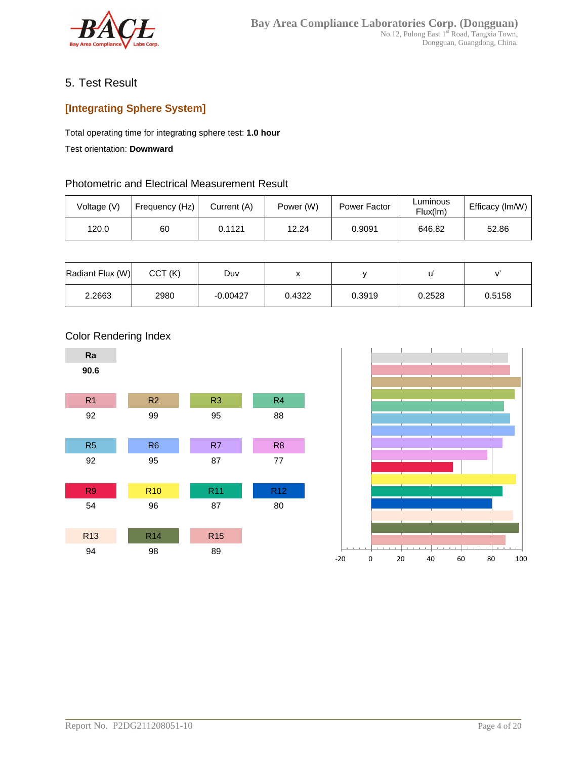

### 5. Test Result

## **[Integrating Sphere System]**

Total operating time for integrating sphere test: **1.0 hour**

Test orientation: **Downward**

#### Photometric and Electrical Measurement Result

| Voltage (V) | Frequency (Hz) | Current (A) | Power (W) | Power Factor | Luminous<br>Flux(lm) | Efficacy (Im/W) |
|-------------|----------------|-------------|-----------|--------------|----------------------|-----------------|
| 120.0       | 60             | 0.1121      | 12.24     | 0.9091       | 646.82               | 52.86           |

| Radiant Flux (W) | CCT(K) | Duv        |        |        |        |        |
|------------------|--------|------------|--------|--------|--------|--------|
| 2.2663           | 2980   | $-0.00427$ | 0.4322 | 0.3919 | 0.2528 | 0.5158 |





### Color Rendering Index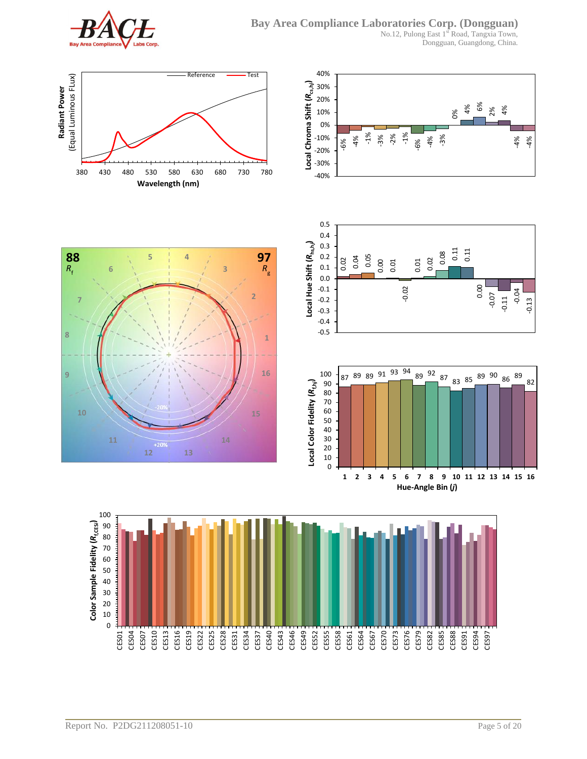

**6**

**11**

**7**

 $R_f$ 

**8**

**9**

40%

No.12, Pulong East 1st Road, Tangxia Town, Dongguan, Guangdong, China.



**5 4**

**88 97**

**10 15**

**12 13**



**1 2 3 4 5 6 7 8 9 10 11 12 13 14 15 16 Hue-Angle Bin (***j***)**



**1**

*R*g

**16**

**2**

**3**

**14**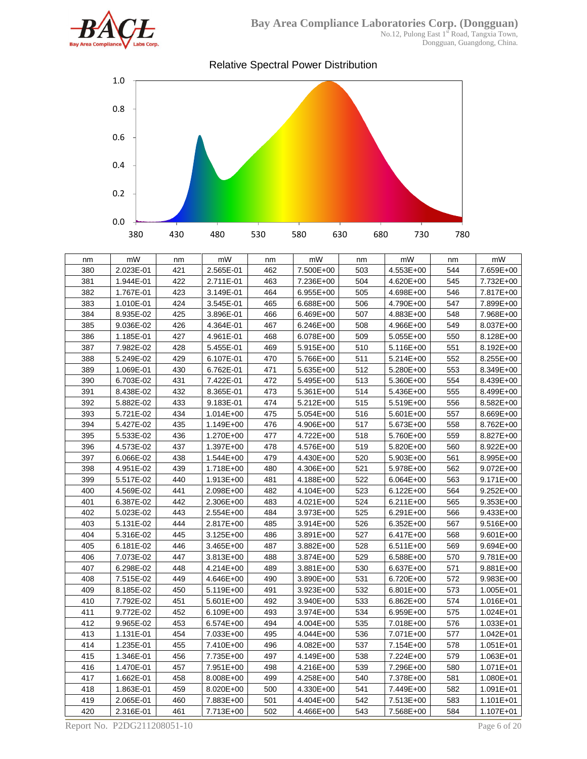

Dongguan, Guangdong, China.



| nm  | mW        | nm  | mW            | nm  | mW        | nm  | mW          | nm  | mW            |
|-----|-----------|-----|---------------|-----|-----------|-----|-------------|-----|---------------|
| 380 | 2.023E-01 | 421 | 2.565E-01     | 462 | 7.500E+00 | 503 | 4.553E+00   | 544 | 7.659E+00     |
| 381 | 1.944E-01 | 422 | 2.711E-01     | 463 | 7.236E+00 | 504 | 4.620E+00   | 545 | 7.732E+00     |
| 382 | 1.767E-01 | 423 | 3.149E-01     | 464 | 6.955E+00 | 505 | 4.698E+00   | 546 | 7.817E+00     |
| 383 | 1.010E-01 | 424 | 3.545E-01     | 465 | 6.688E+00 | 506 | 4.790E+00   | 547 | 7.899E+00     |
| 384 | 8.935E-02 | 425 | 3.896E-01     | 466 | 6.469E+00 | 507 | 4.883E+00   | 548 | 7.968E+00     |
| 385 | 9.036E-02 | 426 | 4.364E-01     | 467 | 6.246E+00 | 508 | 4.966E+00   | 549 | 8.037E+00     |
| 386 | 1.185E-01 | 427 | 4.961E-01     | 468 | 6.078E+00 | 509 | $5.055E+00$ | 550 | 8.128E+00     |
| 387 | 7.982E-02 | 428 | 5.455E-01     | 469 | 5.915E+00 | 510 | 5.116E+00   | 551 | 8.192E+00     |
| 388 | 5.249E-02 | 429 | 6.107E-01     | 470 | 5.766E+00 | 511 | 5.214E+00   | 552 | 8.255E+00     |
| 389 | 1.069E-01 | 430 | 6.762E-01     | 471 | 5.635E+00 | 512 | 5.280E+00   | 553 | 8.349E+00     |
| 390 | 6.703E-02 | 431 | 7.422E-01     | 472 | 5.495E+00 | 513 | 5.360E+00   | 554 | 8.439E+00     |
| 391 | 8.438E-02 | 432 | 8.365E-01     | 473 | 5.361E+00 | 514 | 5.436E+00   | 555 | 8.499E+00     |
| 392 | 5.882E-02 | 433 | 9.183E-01     | 474 | 5.212E+00 | 515 | 5.519E+00   | 556 | 8.582E+00     |
| 393 | 5.721E-02 | 434 | $1.014E + 00$ | 475 | 5.054E+00 | 516 | 5.601E+00   | 557 | 8.669E+00     |
| 394 | 5.427E-02 | 435 | 1.149E+00     | 476 | 4.906E+00 | 517 | 5.673E+00   | 558 | 8.762E+00     |
| 395 | 5.533E-02 | 436 | 1.270E+00     | 477 | 4.722E+00 | 518 | 5.760E+00   | 559 | 8.827E+00     |
| 396 | 4.573E-02 | 437 | 1.397E+00     | 478 | 4.576E+00 | 519 | 5.820E+00   | 560 | 8.922E+00     |
| 397 | 6.066E-02 | 438 | 1.544E+00     | 479 | 4.430E+00 | 520 | 5.903E+00   | 561 | 8.995E+00     |
| 398 | 4.951E-02 | 439 | 1.718E+00     | 480 | 4.306E+00 | 521 | 5.978E+00   | 562 | 9.072E+00     |
| 399 | 5.517E-02 | 440 | 1.913E+00     | 481 | 4.188E+00 | 522 | 6.064E+00   | 563 | 9.171E+00     |
| 400 | 4.569E-02 | 441 | 2.098E+00     | 482 | 4.104E+00 | 523 | 6.122E+00   | 564 | $9.252E + 00$ |
| 401 | 6.387E-02 | 442 | 2.306E+00     | 483 | 4.021E+00 | 524 | 6.211E+00   | 565 | 9.353E+00     |
| 402 | 5.023E-02 | 443 | 2.554E+00     | 484 | 3.973E+00 | 525 | 6.291E+00   | 566 | 9.433E+00     |
| 403 | 5.131E-02 | 444 | 2.817E+00     | 485 | 3.914E+00 | 526 | 6.352E+00   | 567 | 9.516E+00     |
| 404 | 5.316E-02 | 445 | 3.125E+00     | 486 | 3.891E+00 | 527 | 6.417E+00   | 568 | $9.601E + 00$ |
| 405 | 6.181E-02 | 446 | 3.465E+00     | 487 | 3.882E+00 | 528 | $6.511E+00$ | 569 | 9.694E+00     |
| 406 | 7.073E-02 | 447 | 3.813E+00     | 488 | 3.874E+00 | 529 | 6.588E+00   | 570 | 9.781E+00     |
| 407 | 6.298E-02 | 448 | 4.214E+00     | 489 | 3.881E+00 | 530 | 6.637E+00   | 571 | $9.881E+00$   |
| 408 | 7.515E-02 | 449 | 4.646E+00     | 490 | 3.890E+00 | 531 | 6.720E+00   | 572 | 9.983E+00     |
| 409 | 8.185E-02 | 450 | 5.119E+00     | 491 | 3.923E+00 | 532 | 6.801E+00   | 573 | 1.005E+01     |
| 410 | 7.792E-02 | 451 | 5.601E+00     | 492 | 3.940E+00 | 533 | 6.862E+00   | 574 | 1.016E+01     |
| 411 | 9.772E-02 | 452 | 6.109E+00     | 493 | 3.974E+00 | 534 | 6.959E+00   | 575 | 1.024E+01     |
| 412 | 9.965E-02 | 453 | 6.574E+00     | 494 | 4.004E+00 | 535 | 7.018E+00   | 576 | 1.033E+01     |
| 413 | 1.131E-01 | 454 | 7.033E+00     | 495 | 4.044E+00 | 536 | 7.071E+00   | 577 | 1.042E+01     |
| 414 | 1.235E-01 | 455 | 7.410E+00     | 496 | 4.082E+00 | 537 | 7.154E+00   | 578 | 1.051E+01     |
| 415 | 1.346E-01 | 456 | 7.735E+00     | 497 | 4.149E+00 | 538 | 7.224E+00   | 579 | 1.063E+01     |
| 416 | 1.470E-01 | 457 | 7.951E+00     | 498 | 4.216E+00 | 539 | 7.296E+00   | 580 | 1.071E+01     |
| 417 | 1.662E-01 | 458 | 8.008E+00     | 499 | 4.258E+00 | 540 | 7.378E+00   | 581 | 1.080E+01     |
| 418 | 1.863E-01 | 459 | 8.020E+00     | 500 | 4.330E+00 | 541 | 7.449E+00   | 582 | 1.091E+01     |
| 419 | 2.065E-01 | 460 | 7.883E+00     | 501 | 4.404E+00 | 542 | 7.513E+00   | 583 | 1.101E+01     |
| 420 | 2.316E-01 | 461 | 7.713E+00     | 502 | 4.466E+00 | 543 | 7.568E+00   | 584 | 1.107E+01     |

Report No. P2DG211208051-10 Page 6 of 20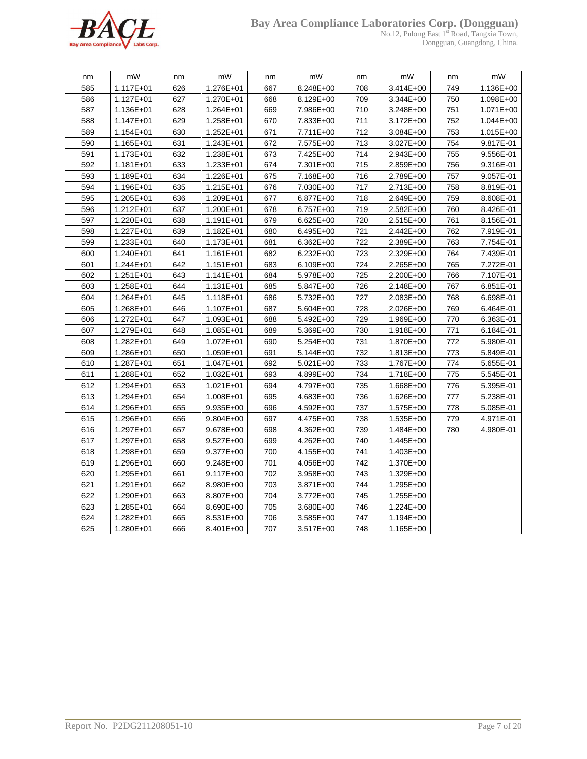

#### **Bay Area Compliance Laboratories Corp. (Dongguan)**

No.12, Pulong East 1<sup>st</sup> Road, Tangxia Town, Dongguan, Guangdong, China.

| nm  | mW            | nm  | mW            | nm  | mW        | nm  | mW        | nm  | mW        |
|-----|---------------|-----|---------------|-----|-----------|-----|-----------|-----|-----------|
| 585 | 1.117E+01     | 626 | 1.276E+01     | 667 | 8.248E+00 | 708 | 3.414E+00 | 749 | 1.136E+00 |
| 586 | 1.127E+01     | 627 | 1.270E+01     | 668 | 8.129E+00 | 709 | 3.344E+00 | 750 | 1.098E+00 |
| 587 | 1.136E+01     | 628 | $1.264E + 01$ | 669 | 7.986E+00 | 710 | 3.248E+00 | 751 | 1.071E+00 |
| 588 | 1.147E+01     | 629 | $1.258E + 01$ | 670 | 7.833E+00 | 711 | 3.172E+00 | 752 | 1.044E+00 |
| 589 | 1.154E+01     | 630 | $1.252E + 01$ | 671 | 7.711E+00 | 712 | 3.084E+00 | 753 | 1.015E+00 |
| 590 | 1.165E+01     | 631 | 1.243E+01     | 672 | 7.575E+00 | 713 | 3.027E+00 | 754 | 9.817E-01 |
| 591 | 1.173E+01     | 632 | 1.238E+01     | 673 | 7.425E+00 | 714 | 2.943E+00 | 755 | 9.556E-01 |
| 592 | $1.181E + 01$ | 633 | $1.233E + 01$ | 674 | 7.301E+00 | 715 | 2.859E+00 | 756 | 9.316E-01 |
| 593 | 1.189E+01     | 634 | 1.226E+01     | 675 | 7.168E+00 | 716 | 2.789E+00 | 757 | 9.057E-01 |
| 594 | 1.196E+01     | 635 | 1.215E+01     | 676 | 7.030E+00 | 717 | 2.713E+00 | 758 | 8.819E-01 |
| 595 | 1.205E+01     | 636 | 1.209E+01     | 677 | 6.877E+00 | 718 | 2.649E+00 | 759 | 8.608E-01 |
| 596 | 1.212E+01     | 637 | 1.200E+01     | 678 | 6.757E+00 | 719 | 2.582E+00 | 760 | 8.426E-01 |
| 597 | 1.220E+01     | 638 | 1.191E+01     | 679 | 6.625E+00 | 720 | 2.515E+00 | 761 | 8.156E-01 |
| 598 | 1.227E+01     | 639 | $1.182E + 01$ | 680 | 6.495E+00 | 721 | 2.442E+00 | 762 | 7.919E-01 |
| 599 | 1.233E+01     | 640 | 1.173E+01     | 681 | 6.362E+00 | 722 | 2.389E+00 | 763 | 7.754E-01 |
| 600 | 1.240E+01     | 641 | 1.161E+01     | 682 | 6.232E+00 | 723 | 2.329E+00 | 764 | 7.439E-01 |
| 601 | $1.244E + 01$ | 642 | $1.151E + 01$ | 683 | 6.109E+00 | 724 | 2.265E+00 | 765 | 7.272E-01 |
| 602 | $1.251E + 01$ | 643 | $1.141E + 01$ | 684 | 5.978E+00 | 725 | 2.200E+00 | 766 | 7.107E-01 |
| 603 | 1.258E+01     | 644 | 1.131E+01     | 685 | 5.847E+00 | 726 | 2.148E+00 | 767 | 6.851E-01 |
| 604 | 1.264E+01     | 645 | 1.118E+01     | 686 | 5.732E+00 | 727 | 2.083E+00 | 768 | 6.698E-01 |
| 605 | 1.268E+01     | 646 | 1.107E+01     | 687 | 5.604E+00 | 728 | 2.026E+00 | 769 | 6.464E-01 |
| 606 | 1.272E+01     | 647 | $1.093E + 01$ | 688 | 5.492E+00 | 729 | 1.969E+00 | 770 | 6.363E-01 |
| 607 | 1.279E+01     | 648 | 1.085E+01     | 689 | 5.369E+00 | 730 | 1.918E+00 | 771 | 6.184E-01 |
| 608 | 1.282E+01     | 649 | 1.072E+01     | 690 | 5.254E+00 | 731 | 1.870E+00 | 772 | 5.980E-01 |
| 609 | 1.286E+01     | 650 | 1.059E+01     | 691 | 5.144E+00 | 732 | 1.813E+00 | 773 | 5.849E-01 |
| 610 | 1.287E+01     | 651 | $1.047E + 01$ | 692 | 5.021E+00 | 733 | 1.767E+00 | 774 | 5.655E-01 |
| 611 | 1.288E+01     | 652 | $1.032E + 01$ | 693 | 4.899E+00 | 734 | 1.718E+00 | 775 | 5.545E-01 |
| 612 | 1.294E+01     | 653 | $1.021E + 01$ | 694 | 4.797E+00 | 735 | 1.668E+00 | 776 | 5.395E-01 |
| 613 | 1.294E+01     | 654 | 1.008E+01     | 695 | 4.683E+00 | 736 | 1.626E+00 | 777 | 5.238E-01 |
| 614 | 1.296E+01     | 655 | 9.935E+00     | 696 | 4.592E+00 | 737 | 1.575E+00 | 778 | 5.085E-01 |
| 615 | 1.296E+01     | 656 | $9.804E + 00$ | 697 | 4.475E+00 | 738 | 1.535E+00 | 779 | 4.971E-01 |
| 616 | 1.297E+01     | 657 | 9.678E+00     | 698 | 4.362E+00 | 739 | 1.484E+00 | 780 | 4.980E-01 |
| 617 | 1.297E+01     | 658 | 9.527E+00     | 699 | 4.262E+00 | 740 | 1.445E+00 |     |           |
| 618 | 1.298E+01     | 659 | 9.377E+00     | 700 | 4.155E+00 | 741 | 1.403E+00 |     |           |
| 619 | 1.296E+01     | 660 | $9.248E + 00$ | 701 | 4.056E+00 | 742 | 1.370E+00 |     |           |
| 620 | 1.295E+01     | 661 | 9.117E+00     | 702 | 3.958E+00 | 743 | 1.329E+00 |     |           |
| 621 | $1.291E + 01$ | 662 | 8.980E+00     | 703 | 3.871E+00 | 744 | 1.295E+00 |     |           |
| 622 | 1.290E+01     | 663 | 8.807E+00     | 704 | 3.772E+00 | 745 | 1.255E+00 |     |           |
| 623 | 1.285E+01     | 664 | 8.690E+00     | 705 | 3.680E+00 | 746 | 1.224E+00 |     |           |
| 624 | 1.282E+01     | 665 | 8.531E+00     | 706 | 3.585E+00 | 747 | 1.194E+00 |     |           |
| 625 | 1.280E+01     | 666 | 8.401E+00     | 707 | 3.517E+00 | 748 | 1.165E+00 |     |           |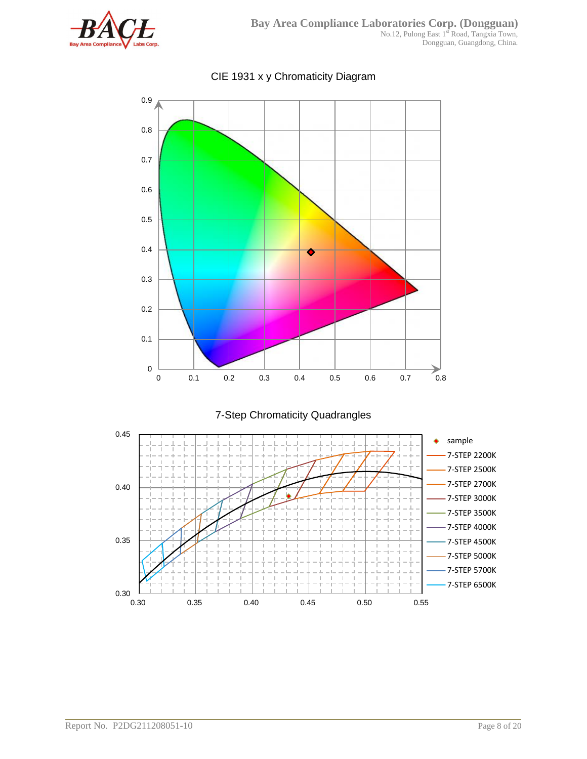



CIE 1931 x y Chromaticity Diagram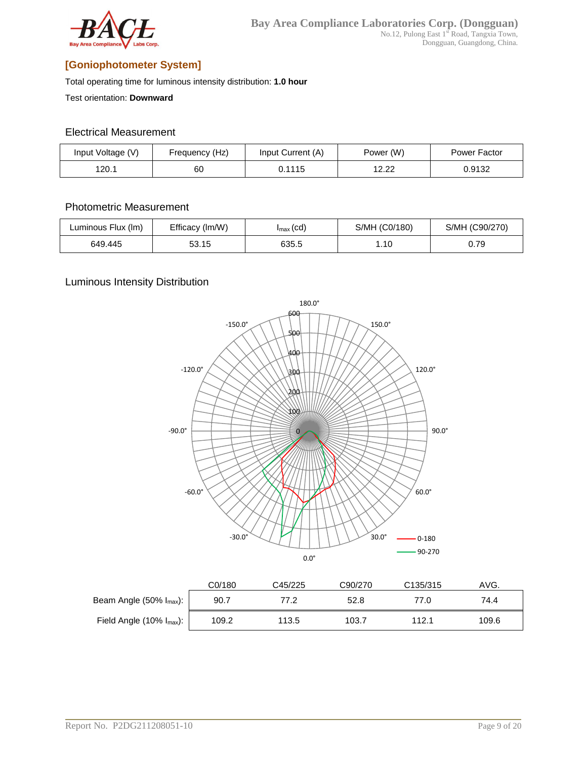

### **[Goniophotometer System]**

Total operating time for luminous intensity distribution: **1.0 hour**

Test orientation: **Downward**

#### Electrical Measurement

| Input Voltage (V) | Frequency (Hz) | Input Current (A) | Power (W)                          | Power Factor |
|-------------------|----------------|-------------------|------------------------------------|--------------|
| 120.1             | 60             | 0.1115            | 10.00<br>$\mathcal{L}.\mathcal{L}$ | 0.9132       |

#### Photometric Measurement

| Luminous Flux (Im) | Efficacy (Im/W) | $I_{\text{max}}(cd)$ | S/MH (C0/180) | S/MH (C90/270) |
|--------------------|-----------------|----------------------|---------------|----------------|
| 649.445            | 53.15           | 635.5                | 1.10          | 0.79           |

#### Luminous Intensity Distribution



|                                   | C0/180 | C45/225 | C90/270 | C <sub>135</sub> /315 | AVG.  |
|-----------------------------------|--------|---------|---------|-----------------------|-------|
| Beam Angle $(50\% \, I_{max})$ :  | 90.7   | 77.2    | 52.8    | 77.0                  | 74.4  |
| Field Angle $(10\% \, I_{max})$ : | 109.2  | 113.5   | 103.7   | 112.1                 | 109.6 |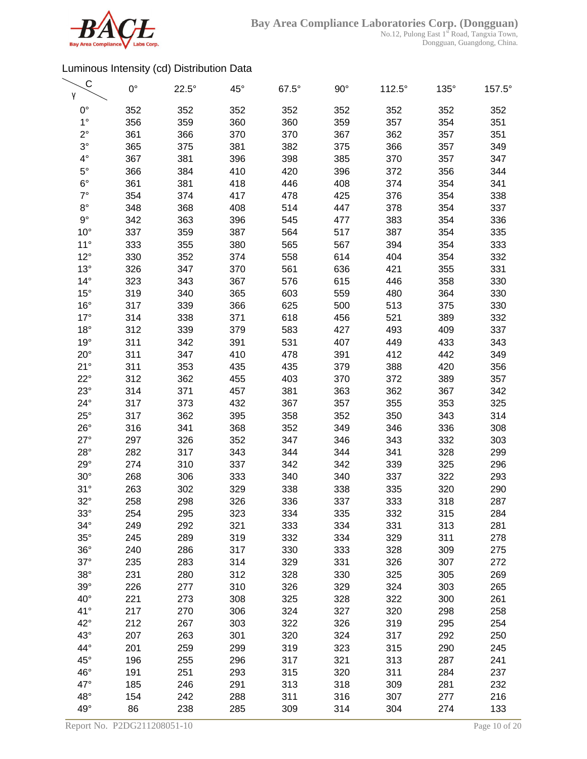

| С<br>γ       | $0^{\circ}$ | $22.5^\circ$ | $45^{\circ}$ | $67.5^\circ$ | $90^{\circ}$ | $112.5^\circ$ | 135° | 157.5° |
|--------------|-------------|--------------|--------------|--------------|--------------|---------------|------|--------|
| $0^{\circ}$  | 352         | 352          | 352          | 352          | 352          | 352           | 352  | 352    |
| $1^{\circ}$  | 356         | 359          | 360          | 360          | 359          | 357           | 354  | 351    |
| $2^{\circ}$  | 361         | 366          | 370          | 370          | 367          | 362           | 357  | 351    |
| $3^\circ$    | 365         | 375          | 381          | 382          | 375          | 366           | 357  | 349    |
| $4^{\circ}$  | 367         | 381          | 396          | 398          | 385          | 370           | 357  | 347    |
| $5^{\circ}$  | 366         | 384          | 410          | 420          | 396          | 372           | 356  | 344    |
| $6^{\circ}$  |             |              |              |              |              |               |      |        |
| $7^\circ$    | 361         | 381          | 418          | 446          | 408          | 374           | 354  | 341    |
|              | 354         | 374          | 417          | 478          | 425          | 376           | 354  | 338    |
| $8^{\circ}$  | 348         | 368          | 408          | 514          | 447          | 378           | 354  | 337    |
| $9^{\circ}$  | 342         | 363          | 396          | 545          | 477          | 383           | 354  | 336    |
| $10^{\circ}$ | 337         | 359          | 387          | 564          | 517          | 387           | 354  | 335    |
| $11^\circ$   | 333         | 355          | 380          | 565          | 567          | 394           | 354  | 333    |
| $12^{\circ}$ | 330         | 352          | 374          | 558          | 614          | 404           | 354  | 332    |
| $13^\circ$   | 326         | 347          | 370          | 561          | 636          | 421           | 355  | 331    |
| $14^{\circ}$ | 323         | 343          | 367          | 576          | 615          | 446           | 358  | 330    |
| $15^{\circ}$ | 319         | 340          | 365          | 603          | 559          | 480           | 364  | 330    |
| $16^{\circ}$ | 317         | 339          | 366          | 625          | 500          | 513           | 375  | 330    |
| $17^\circ$   | 314         | 338          | 371          | 618          | 456          | 521           | 389  | 332    |
| $18^{\circ}$ | 312         | 339          | 379          | 583          | 427          | 493           | 409  | 337    |
| 19°          | 311         | 342          | 391          | 531          | 407          | 449           | 433  | 343    |
| $20^{\circ}$ | 311         | 347          | 410          | 478          | 391          | 412           | 442  | 349    |
| 21°          | 311         | 353          | 435          | 435          | 379          | 388           | 420  | 356    |
| $22^{\circ}$ | 312         | 362          | 455          | 403          | 370          | 372           | 389  | 357    |
| $23^\circ$   | 314         | 371          | 457          | 381          | 363          | 362           | 367  | 342    |
| $24^{\circ}$ | 317         | 373          | 432          | 367          | 357          | 355           | 353  | 325    |
| $25^{\circ}$ | 317         | 362          | 395          | 358          | 352          | 350           | 343  | 314    |
| $26^{\circ}$ | 316         | 341          | 368          | 352          | 349          | 346           | 336  | 308    |
| $27^\circ$   | 297         | 326          | 352          | 347          | 346          | 343           | 332  | 303    |
| $28^\circ$   | 282         | 317          | 343          | 344          | 344          | 341           | 328  | 299    |
| $29^\circ$   | 274         | 310          | 337          | 342          | 342          | 339           | 325  | 296    |
| $30^\circ$   | 268         | 306          | 333          | 340          | 340          | 337           | 322  | 293    |
| 31°          | 263         | 302          | 329          | 338          | 338          | 335           | 320  | 290    |
| $32^\circ$   | 258         | 298          | 326          | 336          | 337          | 333           | 318  | 287    |
| $33^\circ$   | 254         | 295          | 323          | 334          | 335          | 332           | 315  | 284    |
| $34^\circ$   | 249         | 292          | 321          | 333          | 334          | 331           | 313  | 281    |
| $35^\circ$   | 245         | 289          | 319          | 332          | 334          | 329           | 311  | 278    |
| $36^\circ$   | 240         | 286          | 317          | 330          | 333          | 328           | 309  | 275    |
| $37^\circ$   | 235         | 283          | 314          | 329          | 331          | 326           | 307  | 272    |
| $38^\circ$   | 231         | 280          | 312          | 328          | 330          | 325           | 305  | 269    |
| $39^\circ$   | 226         | 277          | 310          | 326          | 329          | 324           | 303  | 265    |
| $40^{\circ}$ | 221         | 273          | 308          | 325          | 328          | 322           | 300  | 261    |
| 41°          | 217         | 270          | 306          | 324          | 327          | 320           | 298  | 258    |
| $42^{\circ}$ | 212         | 267          | 303          | 322          | 326          | 319           | 295  | 254    |
| $43^\circ$   | 207         | 263          | 301          | 320          | 324          | 317           | 292  | 250    |
| 44°          | 201         | 259          | 299          | 319          | 323          | 315           | 290  | 245    |
| $45^{\circ}$ | 196         | 255          | 296          | 317          | 321          | 313           | 287  | 241    |
| 46°          | 191         | 251          | 293          | 315          | 320          | 311           | 284  | 237    |
| 47°          | 185         | 246          | 291          | 313          | 318          | 309           | 281  | 232    |
| $48^\circ$   | 154         | 242          | 288          | 311          | 316          | 307           | 277  | 216    |
| 49°          | 86          | 238          | 285          | 309          | 314          | 304           | 274  | 133    |
|              |             |              |              |              |              |               |      |        |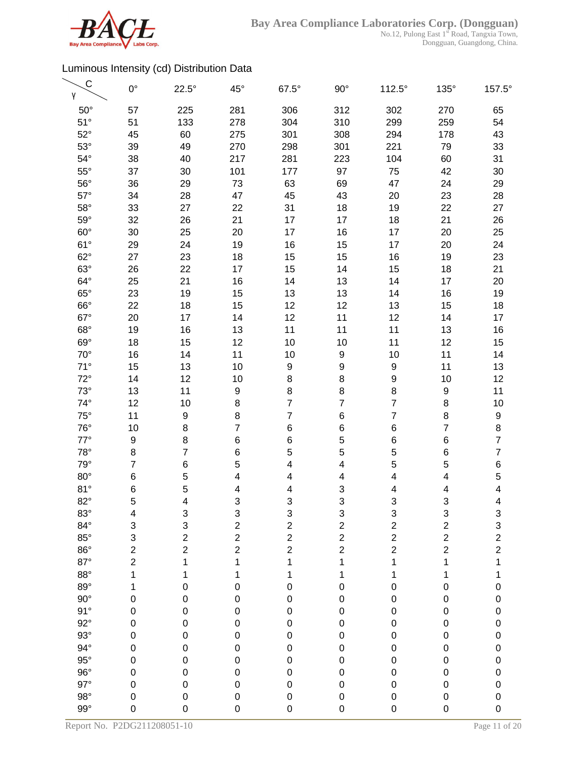

| $\mathsf{C}$<br>γ | $0^{\circ}$    | $22.5^\circ$   | $45^{\circ}$     | $67.5^\circ$   | $90^\circ$     | $112.5^\circ$           | $135^\circ$               | 157.5°                                     |
|-------------------|----------------|----------------|------------------|----------------|----------------|-------------------------|---------------------------|--------------------------------------------|
| $50^\circ$        | 57             | 225            | 281              | 306            | 312            | 302                     | 270                       | 65                                         |
| $51^\circ$        | 51             | 133            | 278              | 304            | 310            | 299                     | 259                       | 54                                         |
| $52^{\circ}$      | 45             | 60             | 275              | 301            | 308            | 294                     | 178                       | 43                                         |
| $53^\circ$        | 39             | 49             | 270              | 298            | 301            | 221                     | 79                        | 33                                         |
| $54^\circ$        | 38             | 40             | 217              | 281            | 223            | 104                     | 60                        | 31                                         |
| $55^{\circ}$      | 37             | 30             | 101              | 177            | 97             | 75                      | 42                        | 30                                         |
| $56^{\circ}$      | 36             | 29             | 73               | 63             | 69             | 47                      | 24                        | 29                                         |
| $57^\circ$        | 34             | 28             | 47               | 45             | 43             | 20                      | 23                        | 28                                         |
| $58^\circ$        | 33             | 27             | 22               | 31             | 18             | 19                      | 22                        | 27                                         |
| $59^\circ$        | 32             | 26             | 21               | 17             | 17             | 18                      | 21                        | 26                                         |
| $60^\circ$        | 30             | 25             | 20               | 17             | 16             | 17                      | 20                        | 25                                         |
| $61^{\circ}$      | 29             | 24             | 19               | 16             | 15             | 17                      | 20                        | 24                                         |
| $62^{\circ}$      | 27             | 23             | 18               | 15             | 15             | 16                      | 19                        | 23                                         |
| $63^\circ$        | 26             | 22             | 17               | 15             | 14             | 15                      | 18                        | 21                                         |
| $64^{\circ}$      | 25             | 21             | 16               | 14             | 13             | 14                      | 17                        | 20                                         |
| $65^\circ$        | 23             | 19             | 15               | 13             | 13             | 14                      | 16                        | 19                                         |
| $66^\circ$        | 22             | 18             | 15               | 12             | 12             | 13                      | 15                        | 18                                         |
| $67^\circ$        | 20             | 17             | 14               | 12             | 11             | 12                      | 14                        | 17                                         |
| $68^\circ$        | 19             | 16             | 13               | 11             | 11             | 11                      | 13                        | 16                                         |
| $69^\circ$        | 18             | 15             | 12               | 10             | 10             | 11                      | 12                        | 15                                         |
| $70^{\circ}$      | 16             | 14             | 11               | 10             | 9              | 10                      | 11                        | 14                                         |
| $71^\circ$        | 15             | 13             | 10               | 9              | 9              | 9                       | 11                        | 13                                         |
| $72^{\circ}$      | 14             | 12             | 10               | 8              | 8              | 9                       | 10                        | 12                                         |
| $73^\circ$        | 13             | 11             | $\boldsymbol{9}$ | 8              | 8              | 8                       | $\boldsymbol{9}$          | 11                                         |
| $74^{\circ}$      | 12             | 10             | 8                | $\overline{7}$ | $\overline{7}$ | $\overline{7}$          | $\bf8$                    | 10                                         |
| $75^\circ$        | 11             | 9              | 8                | $\overline{7}$ | $\overline{6}$ | $\overline{7}$          | $\bf8$                    | 9                                          |
| $76^{\circ}$      | 10             | 8              | $\overline{7}$   | 6              | 6              | 6                       | $\overline{7}$            | 8                                          |
| $77^\circ$        | 9              | 8              | 6                | 6              | 5              | 6                       | $\,6$                     | $\overline{7}$                             |
| $78^\circ$        | 8              | $\overline{7}$ | 6                | 5              | 5              | 5                       | 6                         | $\overline{7}$                             |
| $79^\circ$        | $\overline{7}$ | 6              | 5                | 4              | 4              | 5                       | 5                         | 6                                          |
| $80^\circ$        | 6              | 5              | 4                | 4              | 4              | 4                       | 4                         | 5                                          |
| 81°               | 6              | 5              | 4                | 4              | 3              | 4                       | 4                         | 4                                          |
| 82°               | 5              | 4              | 3                | 3              | 3              | 3                       | 3                         | 4                                          |
| $83^\circ$        | 4              | 3              | 3                | 3              | 3              | 3                       | $\ensuremath{\mathsf{3}}$ | 3                                          |
| $84^\circ$        | 3              | 3              | $\overline{c}$   | $\overline{c}$ | $\frac{2}{2}$  | $\overline{\mathbf{c}}$ | $\overline{c}$            |                                            |
| $85^\circ$        | 3              | $\overline{c}$ | $\overline{2}$   | $\overline{c}$ |                | $\overline{c}$          | $\overline{c}$            | $\begin{array}{c} 3 \\ 2 \\ 2 \end{array}$ |
| $86^\circ$        | $\overline{c}$ | $\overline{2}$ | $\overline{2}$   | $\overline{2}$ | $\overline{c}$ | $\overline{c}$          | $\overline{c}$            |                                            |
| $87^\circ$        | $\overline{2}$ | 1              | 1                | 1              | 1              | 1                       | 1                         | 1                                          |
| $88^\circ$        | 1              | 1              | 1                | 1              | 1              | 1                       | 1                         | 1                                          |
| $89^\circ$        | 1              | 0              | $\pmb{0}$        | 0              | $\pmb{0}$      | 0                       | $\mathbf 0$               | $\mathbf 0$                                |
| $90^\circ$        | $\mathbf 0$    | 0              | $\mathbf 0$      | 0              | $\pmb{0}$      | 0                       | $\mathbf 0$               | $\mathbf 0$                                |
| 91°               | $\mathbf 0$    | 0              | $\mathbf 0$      | $\mathbf 0$    | $\pmb{0}$      | 0                       | $\mathbf 0$               | $\mathbf 0$                                |
| $92^\circ$        | 0              | 0              | 0                | 0              | 0              | 0                       | $\pmb{0}$                 | $\mathbf{0}$                               |
| $93^\circ$        | $\mathbf 0$    | 0              | $\mathbf 0$      | 0              | $\pmb{0}$      | 0                       | $\pmb{0}$                 | $\mathbf 0$                                |
| $94^\circ$        | $\mathbf 0$    | 0              | $\mathbf 0$      | 0              | $\pmb{0}$      | 0                       | $\pmb{0}$                 | $\mathbf{0}$                               |
| $95^\circ$        | $\mathbf 0$    | 0              | $\mathbf 0$      | 0              | $\pmb{0}$      | 0                       | $\pmb{0}$                 | $\mathbf{0}$                               |
| $96^\circ$        | $\mathbf 0$    | 0              | $\mathbf 0$      | 0              | $\pmb{0}$      | 0                       | $\pmb{0}$                 | $\mathbf{0}$                               |
| $97^\circ$        | $\mathbf 0$    | 0              | $\mathbf 0$      | 0              | $\pmb{0}$      | 0                       | $\mathbf 0$               | $\mathbf 0$                                |
| $98^\circ$        | 0              | 0              | $\mathbf 0$      | 0              | $\pmb{0}$      | 0                       | $\pmb{0}$                 | $\mathbf 0$                                |
| $99^\circ$        | 0              | 0              | $\mathbf 0$      | 0              | 0              | 0                       | $\mathbf 0$               | $\mathbf 0$                                |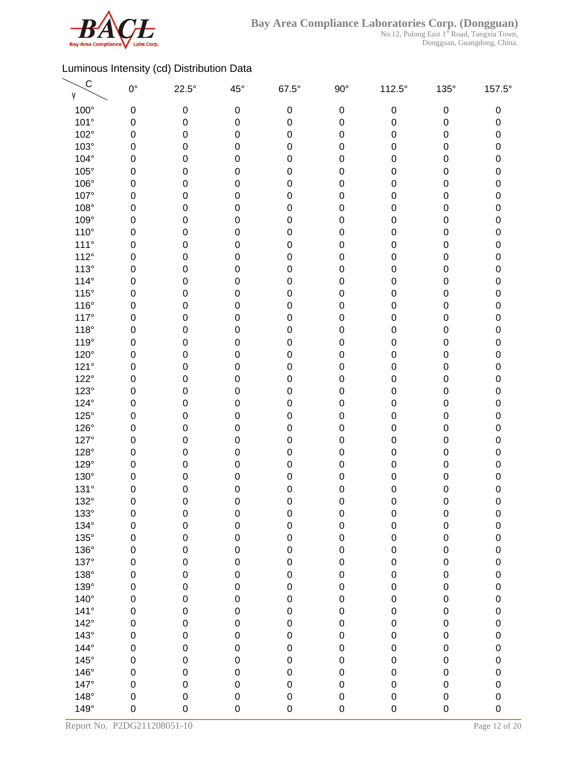

| $\mathsf{C}$<br>γ | $0^{\circ}$ | $22.5^\circ$ | $45^{\circ}$     | $67.5^\circ$ | $90^\circ$  | 112.5°      | $135^\circ$      | 157.5°      |
|-------------------|-------------|--------------|------------------|--------------|-------------|-------------|------------------|-------------|
| $100^\circ$       | 0           | 0            | $\pmb{0}$        | 0            | $\mathbf 0$ | $\mathbf 0$ | $\pmb{0}$        | 0           |
| 101°              | 0           | $\pmb{0}$    | 0                | $\mathbf 0$  | $\mathbf 0$ | 0           | $\pmb{0}$        | 0           |
| 102°              | 0           | 0            | 0                | 0            | $\pmb{0}$   | 0           | $\pmb{0}$        | $\pmb{0}$   |
| $103^\circ$       | 0           | 0            | $\mathbf 0$      | 0            | $\pmb{0}$   | 0           | 0                | 0           |
| 104°              | 0           | 0            | 0                | 0            | $\mathbf 0$ | 0           | 0                | $\pmb{0}$   |
| $105^\circ$       | 0           | 0            | 0                | 0            | $\pmb{0}$   | 0           | 0                | 0           |
| 106°              | 0           | 0            | 0                | 0            | $\pmb{0}$   | 0           | $\pmb{0}$        | $\pmb{0}$   |
| 107°              | 0           | 0            | $\mathbf 0$      | 0            | $\mathbf 0$ | 0           | $\pmb{0}$        | 0           |
| 108°              | 0           | $\pmb{0}$    | 0                | 0            | $\pmb{0}$   | 0           | $\pmb{0}$        | $\pmb{0}$   |
| 109°              | 0           | $\pmb{0}$    | 0                | 0            | $\mathbf 0$ | 0           | $\pmb{0}$        | $\pmb{0}$   |
| $110^{\circ}$     | 0           | 0            | 0                | 0            | $\mathbf 0$ | 0           | $\pmb{0}$        | $\pmb{0}$   |
| $111^\circ$       | 0           | 0            | $\mathbf 0$      | 0            | $\pmb{0}$   | 0           | 0                | 0           |
| $112^\circ$       | 0           | 0            | 0                | 0            | $\mathbf 0$ | 0           | 0                | $\pmb{0}$   |
| 113°              | 0           | 0            | 0                | 0            | $\mathbf 0$ | 0           | 0                | 0           |
| $114^\circ$       | 0           | 0            | 0                | 0            | $\pmb{0}$   | 0           | 0                | $\pmb{0}$   |
| $115^\circ$       | 0           | 0            | $\mathbf 0$      | 0            | $\mathbf 0$ | 0           | $\pmb{0}$        | 0           |
| 116°              | $\mathbf 0$ | 0            | $\mathbf 0$      | 0            | $\mathbf 0$ | 0           | $\pmb{0}$        | $\pmb{0}$   |
| 117°              | 0           | 0            | 0                | 0            | $\mathbf 0$ | 0           | $\pmb{0}$        | 0           |
| $118^\circ$       | 0           | 0            | 0                | 0            | $\pmb{0}$   | 0           | $\pmb{0}$        | $\pmb{0}$   |
| 119°              | 0           | 0            | $\mathbf 0$      | 0            | $\pmb{0}$   | 0           | $\pmb{0}$        | 0           |
| 120°              | 0           | 0            | 0                | 0            | $\pmb{0}$   | 0           | 0                | $\pmb{0}$   |
| 121°              | 0           | 0            | 0                | 0            | $\pmb{0}$   | 0           | $\pmb{0}$        | 0           |
| $122^\circ$       | 0           | 0            | 0                | 0            | $\pmb{0}$   | 0           | $\pmb{0}$        | $\pmb{0}$   |
| $123^\circ$       | 0           | 0            | $\mathbf 0$      | 0            | $\pmb{0}$   | 0           | $\pmb{0}$        | 0           |
| 124°              | $\mathbf 0$ | $\pmb{0}$    | 0                | 0            | $\pmb{0}$   | 0           | $\pmb{0}$        | $\pmb{0}$   |
| $125^\circ$       | 0           | $\pmb{0}$    | 0                | 0            | $\mathbf 0$ | 0           | $\pmb{0}$        | $\pmb{0}$   |
| $126^\circ$       | 0           | 0            | 0                | 0            | $\pmb{0}$   | 0           | $\pmb{0}$        | $\pmb{0}$   |
| 127°              | 0           | 0            | $\boldsymbol{0}$ | 0            | $\pmb{0}$   | 0           | 0                | 0           |
| 128°              | 0           | 0            | 0                | 0            | $\mathbf 0$ | 0           | 0                | 0           |
| 129°              | 0           | 0            | 0                | 0            | $\mathbf 0$ | 0           | 0                | 0           |
| 130°              | 0           | 0            | 0                | 0            | $\pmb{0}$   | 0           | 0                | 0           |
| 131°              | 0           | 0            | $\boldsymbol{0}$ | 0            | $\mathbf 0$ | 0           | $\pmb{0}$        | 0           |
| 132°              | $\mathbf 0$ | 0            | $\mathbf 0$      | 0            | 0           | 0           | $\mathbf 0$      | $\mathbf 0$ |
| $133^\circ$       | 0           | 0            | $\boldsymbol{0}$ | $\pmb{0}$    | $\pmb{0}$   | $\pmb{0}$   | $\pmb{0}$        | $\pmb{0}$   |
| 134°              | $\mathbf 0$ | $\mathbf 0$  | $\mathbf 0$      | $\mathsf 0$  | $\mathbf 0$ | 0           | $\mathbf 0$      | $\pmb{0}$   |
| $135^\circ$       | $\mathbf 0$ | $\pmb{0}$    | $\mathbf 0$      | $\mathsf 0$  | $\mathbf 0$ | 0           | $\pmb{0}$        | 0           |
| 136°              | $\mathbf 0$ | $\pmb{0}$    | $\mathbf 0$      | $\mathsf 0$  | $\pmb{0}$   | 0           | $\boldsymbol{0}$ | $\mathbf 0$ |
| 137°              | 0           | $\pmb{0}$    | $\mathbf 0$      | $\mathsf 0$  | $\mathbf 0$ | 0           | $\boldsymbol{0}$ | 0           |
| 138°              | $\mathbf 0$ | $\pmb{0}$    | $\mathbf 0$      | $\mathsf 0$  | $\pmb{0}$   | 0           | $\pmb{0}$        | $\mathbf 0$ |
| 139°              | 0           | $\pmb{0}$    | $\mathbf 0$      | $\mathbf 0$  | $\pmb{0}$   | 0           | $\pmb{0}$        | $\mathbf 0$ |
| $140^\circ$       | $\mathbf 0$ | $\mathbf 0$  | $\mathbf 0$      | $\mathsf 0$  | $\pmb{0}$   | 0           | $\pmb{0}$        | $\pmb{0}$   |
| $141^\circ$       | $\mathbf 0$ | $\mathbf 0$  | $\mathbf 0$      | $\mathsf 0$  | $\pmb{0}$   | 0           | $\pmb{0}$        | $\pmb{0}$   |
| $142^\circ$       | $\mathsf 0$ | $\mathbf 0$  | $\mathbf 0$      | $\mathsf 0$  | $\mathbf 0$ | 0           | $\boldsymbol{0}$ | $\pmb{0}$   |
| $143^\circ$       | $\mathbf 0$ | 0            | $\mathbf 0$      | $\mathsf 0$  | $\mathbf 0$ | 0           | $\pmb{0}$        | $\pmb{0}$   |
| 144°              | $\mathbf 0$ | $\pmb{0}$    | $\mathbf 0$      | $\mathsf 0$  | $\pmb{0}$   | 0           | $\pmb{0}$        | 0           |
| $145^\circ$       | $\mathbf 0$ | $\pmb{0}$    | $\mathbf 0$      | $\mathsf 0$  | $\pmb{0}$   | 0           | $\boldsymbol{0}$ | 0           |
| 146°              | $\mathbf 0$ | $\mathbf 0$  | $\mathbf 0$      | $\mathsf 0$  | $\mathbf 0$ | 0           | $\boldsymbol{0}$ | $\mathbf 0$ |
| 147°              | $\mathbf 0$ | $\pmb{0}$    | $\mathbf 0$      | 0            | $\mathbf 0$ | 0           | $\pmb{0}$        | $\mathbf 0$ |
| $148^\circ$       | $\mathbf 0$ | $\pmb{0}$    | $\pmb{0}$        | $\mathsf 0$  | $\pmb{0}$   | 0           | $\pmb{0}$        | 0           |
| 149°              | $\mathbf 0$ | 0            | $\mathbf 0$      | 0            | $\mathbf 0$ | 0           | $\mathbf 0$      | $\mathbf 0$ |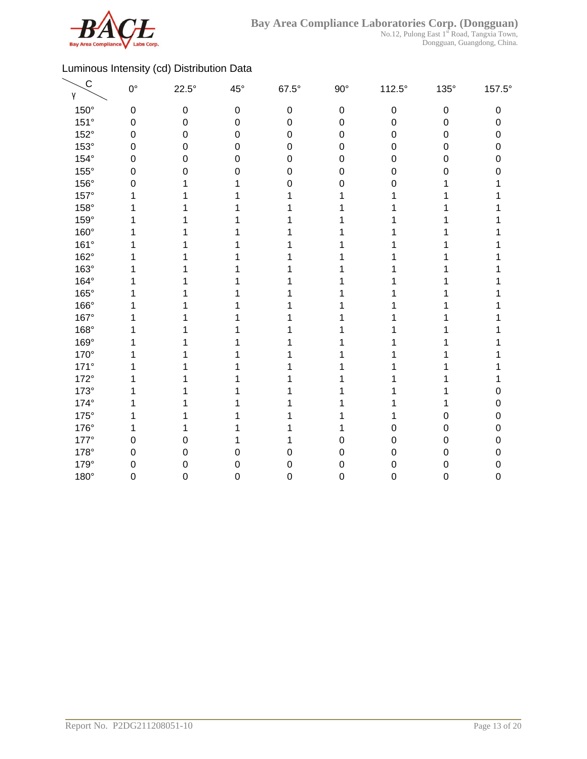

| $\mathsf{C}$<br>γ | $0^{\circ}$      | $22.5^\circ$ | $45^{\circ}$     | $67.5^\circ$     | $90^{\circ}$     | $112.5^\circ$    | $135^\circ$      | 157.5° |
|-------------------|------------------|--------------|------------------|------------------|------------------|------------------|------------------|--------|
| $150^\circ$       | $\boldsymbol{0}$ | $\pmb{0}$    | $\boldsymbol{0}$ | $\pmb{0}$        | $\boldsymbol{0}$ | $\boldsymbol{0}$ | $\pmb{0}$        | 0      |
| 151°              | $\boldsymbol{0}$ | 0            | 0                | $\mathbf 0$      | $\boldsymbol{0}$ | 0                | $\boldsymbol{0}$ | 0      |
| 152°              | $\mathbf 0$      | 0            | $\mathbf 0$      | $\boldsymbol{0}$ | $\boldsymbol{0}$ | 0                | $\boldsymbol{0}$ | 0      |
| 153°              | $\mathbf 0$      | 0            | 0                | 0                | $\mathbf 0$      | 0                | $\boldsymbol{0}$ | 0      |
| $154^\circ$       | $\mathbf 0$      | 0            | 0                | $\mathbf 0$      | 0                | 0                | 0                | 0      |
| $155^\circ$       | 0                | 0            | 0                | 0                | 0                | 0                | $\Omega$         | N      |
| 156°              | $\mathbf 0$      |              |                  | 0                | 0                | 0                |                  |        |
| 157°              | 1                |              |                  |                  |                  |                  |                  |        |
| 158°              | 1                |              |                  |                  |                  |                  |                  |        |
| 159°              | 1                |              |                  |                  |                  |                  |                  |        |
| 160°              | 1                |              |                  |                  |                  |                  |                  |        |
| 161°              | 1                |              |                  |                  |                  |                  |                  |        |
| 162°              |                  |              |                  |                  |                  |                  |                  |        |
| 163°              |                  |              |                  |                  |                  |                  |                  |        |
| 164°              |                  |              |                  |                  |                  |                  |                  |        |
| 165°              |                  |              |                  |                  |                  |                  |                  |        |
| 166°              |                  |              |                  |                  |                  |                  |                  |        |
| 167°              |                  |              |                  |                  |                  |                  |                  |        |
| 168°              |                  |              |                  |                  |                  |                  |                  |        |
| 169°              |                  |              |                  |                  |                  |                  |                  |        |
| 170°              |                  |              |                  |                  |                  |                  |                  |        |
| $171^\circ$       |                  |              |                  |                  |                  |                  |                  |        |
| $172^\circ$       |                  |              |                  |                  |                  |                  |                  |        |
| $173^\circ$       | 1                |              |                  |                  |                  |                  |                  |        |
| 174°              | 1                |              |                  |                  |                  |                  |                  | 0      |
| $175^\circ$       | 1                |              |                  |                  |                  |                  | 0                | 0      |
| 176°              | 1                |              |                  |                  |                  | 0                | $\mathbf 0$      | 0      |
| $177^\circ$       | $\mathbf 0$      | 0            |                  |                  | 0                | 0                | $\mathbf 0$      | 0      |
| 178°              | $\mathbf 0$      | 0            | 0                | 0                | 0                | 0                | $\mathbf 0$      | 0      |
| 179°              | $\mathbf 0$      | 0            | 0                | $\mathbf 0$      | 0                | 0                | $\mathbf 0$      | 0      |
| 180°              | $\mathbf 0$      | 0            | 0                | $\mathbf 0$      | 0                | 0                | $\boldsymbol{0}$ | 0      |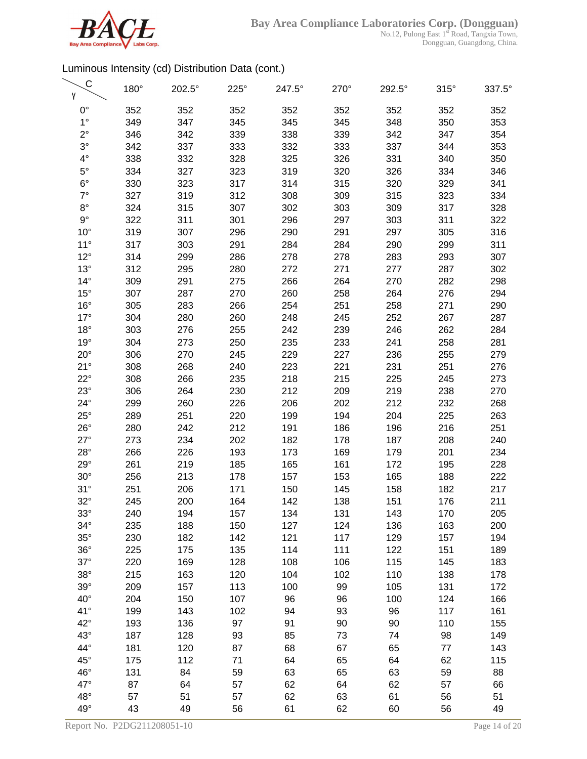

No.12, Pulong East 1<sup>st</sup> Road, Tangxia Town, Dongguan, Guangdong, China.

| C<br>γ                       | 180°       | 202.5°     | $225^\circ$ | 247.5°   | 270°     | 292.5°   | $315^\circ$ | 337.5°     |
|------------------------------|------------|------------|-------------|----------|----------|----------|-------------|------------|
| $0^{\circ}$                  | 352        | 352        | 352         | 352      | 352      | 352      | 352         | 352        |
| $1^{\circ}$                  | 349        | 347        | 345         | 345      | 345      | 348      | 350         | 353        |
| $2^{\circ}$                  | 346        | 342        | 339         | 338      | 339      | 342      | 347         | 354        |
| $3^\circ$                    | 342        | 337        | 333         | 332      | 333      | 337      | 344         | 353        |
| $4^{\circ}$                  | 338        | 332        | 328         | 325      | 326      | 331      | 340         | 350        |
| $5^{\circ}$                  | 334        | 327        | 323         | 319      | 320      | 326      | 334         | 346        |
| $6^{\circ}$                  | 330        | 323        | 317         | 314      | 315      | 320      | 329         | 341        |
| $7^\circ$                    | 327        | 319        | 312         | 308      | 309      | 315      | 323         | 334        |
| $8^{\circ}$                  | 324        | 315        | 307         | 302      | 303      | 309      | 317         | 328        |
| $9^{\circ}$                  | 322        | 311        | 301         | 296      | 297      | 303      | 311         | 322        |
| $10^{\circ}$                 | 319        | 307        | 296         | 290      | 291      | 297      | 305         | 316        |
| $11^{\circ}$                 | 317        | 303        | 291         | 284      | 284      | 290      | 299         | 311        |
| $12^{\circ}$                 | 314        | 299        | 286         | 278      | 278      | 283      | 293         | 307        |
| $13^\circ$                   | 312        | 295        | 280         | 272      | 271      | 277      | 287         | 302        |
| $14^{\circ}$                 | 309        | 291        | 275         | 266      | 264      | 270      | 282         | 298        |
| $15^{\circ}$                 | 307        | 287        | 270         | 260      | 258      | 264      | 276         | 294        |
| $16^{\circ}$                 | 305        | 283        | 266         | 254      | 251      | 258      | 271         | 290        |
| $17^\circ$                   | 304        | 280        | 260         | 248      | 245      | 252      | 267         | 287        |
| $18^{\circ}$                 | 303        | 276        | 255         | 242      | 239      | 246      | 262         | 284        |
| $19^\circ$                   | 304        | 273        | 250         | 235      | 233      | 241      | 258         | 281        |
| $20^{\circ}$                 | 306        | 270        | 245         | 229      | 227      | 236      | 255         | 279        |
| $21^{\circ}$                 | 308        | 268        | 240         | 223      | 221      | 231      | 251         | 276        |
| $22^{\circ}$                 | 308        | 266        | 235         | 218      | 215      | 225      | 245         | 273        |
| $23^\circ$                   | 306        | 264        | 230         | 212      | 209      | 219      | 238         | 270        |
| $24^{\circ}$                 | 299        | 260        | 226         | 206      | 202      | 212      | 232         | 268        |
| $25^{\circ}$                 | 289        | 251        | 220         | 199      | 194      | 204      | 225         | 263        |
| $26^{\circ}$                 | 280        | 242        | 212         | 191      | 186      | 196      | 216         | 251        |
| $27^\circ$                   | 273        | 234        | 202         | 182      | 178      | 187      | 208         | 240        |
| $28^\circ$                   | 266        | 226        | 193         | 173      | 169      | 179      | 201         | 234        |
| $29^\circ$                   | 261        | 219        | 185         | 165      | 161      | 172      | 195         | 228        |
| $30^\circ$                   | 256        | 213        | 178         | 157      | 153      | 165      | 188         | 222        |
| 31°                          | 251        | 206        | 171         | 150      | 145      | 158      | 182         | 217        |
| $32^\circ$                   | 245        | 200        | 164         | 142      | 138      | 151      | 176         | 211        |
| $33^\circ$                   | 240        | 194        | 157         | 134      | 131      | 143      | 170         | 205        |
| $34^\circ$                   | 235        | 188        | 150         | 127      | 124      | 136      | 163         | 200        |
| $35^\circ$                   | 230        | 182        | 142         | 121      | 117      | 129      | 157         | 194        |
| $36^\circ$                   | 225        | 175        | 135         | 114      | 111      | 122      | 151         | 189        |
| $37^\circ$                   | 220        | 169        | 128         | 108      | 106      | 115      | 145         | 183        |
| $38^\circ$                   | 215        | 163        | 120         | 104      | 102      | 110      | 138         | 178        |
| $39^\circ$                   | 209        | 157        | 113         | 100      | 99       | 105      | 131         | 172        |
| $40^{\circ}$                 | 204        | 150        | 107         | 96       | 96       | 100      | 124         | 166        |
| $41^{\circ}$<br>$42^{\circ}$ | 199        | 143        | 102         | 94       | 93       | 96       | 117         | 161        |
| $43^\circ$                   | 193        | 136        | 97          | 91       | 90       | 90       | 110         | 155        |
| 44°                          | 187        | 128        | 93          | 85       | 73       | 74       | 98          | 149        |
| $45^{\circ}$                 | 181<br>175 | 120<br>112 | 87<br>71    | 68<br>64 | 67<br>65 | 65<br>64 | 77<br>62    | 143<br>115 |
| 46°                          | 131        | 84         | 59          | 63       | 65       | 63       | 59          | 88         |
| 47°                          | 87         | 64         | 57          | 62       | 64       | 62       | 57          | 66         |
| $48^\circ$                   | 57         | 51         | 57          | 62       | 63       | 61       | 56          | 51         |
| $49^\circ$                   | 43         | 49         | 56          | 61       | 62       | 60       | 56          | 49         |
|                              |            |            |             |          |          |          |             |            |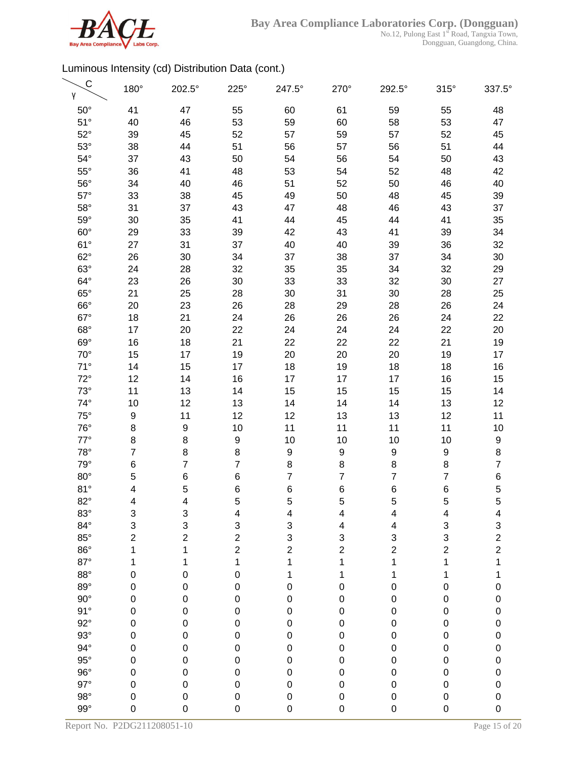

| $\mathsf{C}$<br>γ        | 180°                       | 202.5°                   | $225^\circ$                     | 247.5°                     | 270°                     | 292.5°                  | $315^\circ$            | 337.5°                     |
|--------------------------|----------------------------|--------------------------|---------------------------------|----------------------------|--------------------------|-------------------------|------------------------|----------------------------|
| $50^\circ$               | 41                         | 47                       | 55                              | 60                         | 61                       | 59                      | 55                     | 48                         |
| $51^\circ$               | 40                         | 46                       | 53                              | 59                         | 60                       | 58                      | 53                     | 47                         |
| $52^\circ$               | 39                         | 45                       | 52                              | 57                         | 59                       | 57                      | 52                     | 45                         |
| $53^\circ$               | 38                         | 44                       | 51                              | 56                         | 57                       | 56                      | 51                     | 44                         |
| $54^\circ$               | 37                         | 43                       | 50                              | 54                         | 56                       | 54                      | 50                     | 43                         |
| $55^{\circ}$             | 36                         | 41                       | 48                              | 53                         | 54                       | 52                      | 48                     | 42                         |
| $56^\circ$               | 34                         | 40                       | 46                              | 51                         | 52                       | 50                      | 46                     | 40                         |
| $57^\circ$               | 33                         | 38                       | 45                              | 49                         | 50                       | 48                      | 45                     | 39                         |
| $58^\circ$               | 31                         | 37                       | 43                              | 47                         | 48                       | 46                      | 43                     | 37                         |
| $59^\circ$               | 30                         | 35                       | 41                              | 44                         | 45                       | 44                      | 41                     | 35                         |
| $60^\circ$               | 29                         | 33                       | 39                              | 42                         | 43                       | 41                      | 39                     | 34                         |
| $61^{\circ}$             | 27                         | 31                       | 37                              | 40                         | 40                       | 39                      | 36                     | 32                         |
| $62^\circ$               | 26                         | 30                       | 34                              | 37                         | 38                       | 37                      | 34                     | 30                         |
| $63^\circ$               | 24                         | 28                       | 32                              | 35                         | 35                       | 34                      | 32                     | 29                         |
| $64^{\circ}$             | 23                         | 26                       | 30                              | 33                         | 33                       | 32                      | 30                     | 27                         |
| $65^\circ$               | 21                         | 25                       | 28                              | 30                         | 31                       | 30                      | 28                     | 25                         |
| $66^\circ$               | 20                         | 23                       | 26                              | 28                         | 29                       | 28                      | 26                     | 24                         |
| $67^\circ$               | 18                         | 21                       | 24                              | 26                         | 26                       | 26                      | 24                     | 22                         |
| $68^\circ$               | 17                         | 20                       | 22                              | 24                         | 24                       | 24                      | 22                     | 20                         |
| $69^\circ$               | 16                         | 18                       | 21                              | 22                         | 22                       | 22                      | 21                     | 19                         |
| $70^{\circ}$             | 15                         | 17                       | 19                              | 20                         | 20                       | 20                      | 19                     | 17                         |
| $71^\circ$               | 14                         | 15                       | 17                              | 18                         | 19                       | 18                      | 18                     | 16                         |
| $72^{\circ}$             | 12                         | 14                       | 16                              | 17                         | 17                       | 17                      | 16                     | 15                         |
| $73^\circ$               | 11                         | 13                       | 14                              | 15                         | 15                       | 15                      | 15                     | 14                         |
| $74^{\circ}$             | 10                         | 12                       | 13                              | 14                         | 14                       | 14                      | 13                     | 12                         |
| $75^\circ$               | 9                          | 11                       | 12                              | 12                         | 13                       | 13                      | 12                     | 11                         |
| $76^{\circ}$             | 8                          | 9                        | 10                              | 11                         | 11                       | 11                      | 11                     | 10                         |
| $77^\circ$               | 8                          | 8                        | $\boldsymbol{9}$                | 10                         | 10                       | 10                      | 10                     | 9                          |
| $78^\circ$               | $\overline{7}$             | 8                        | $\,8\,$                         | 9                          | 9                        | 9                       | 9                      | 8                          |
| $79^\circ$               | 6                          | $\overline{\mathbf{7}}$  | $\overline{7}$                  | 8                          | 8                        | 8                       | 8                      | $\overline{7}$             |
| $80^\circ$               | 5                          | 6                        | 6                               | $\overline{7}$             | $\overline{7}$           | $\overline{7}$          | 7                      | 6                          |
| 81°                      | 4                          | 5                        | 6                               | 6                          | 6                        | 6                       | 6                      | 5                          |
| $82^\circ$               | 4                          | 4                        | 5                               | 5                          | 5                        | 5                       | 5                      | 5                          |
| $83^\circ$               | 3                          | 3                        | 4                               | 4                          | 4                        | 4                       | 4                      | 4                          |
| $84^\circ$               | 3                          | 3                        | 3                               | 3                          | 4                        | 4                       | 3                      | 3                          |
| $85^\circ$               | $\overline{c}$             | $\overline{c}$           | $\overline{c}$                  | 3                          | 3                        | 3                       | 3                      | $\overline{\mathbf{c}}$    |
| $86^\circ$               | 1                          | 1                        | $\overline{2}$                  | $\overline{c}$             | $\overline{c}$           | $\overline{\mathbf{c}}$ | $\boldsymbol{2}$       | $\overline{c}$             |
| $87^\circ$               | 1                          | 1                        | 1                               | 1                          | 1                        | 1                       | 1                      | 1                          |
| $88^\circ$               | $\boldsymbol{0}$           | 0                        | $\mathbf 0$                     | 1                          | 1                        | 1                       | 1                      | 1                          |
| $89^\circ$               | $\pmb{0}$                  | 0                        | $\mathbf 0$                     | $\pmb{0}$                  | $\mathbf 0$              | $\pmb{0}$               | $\pmb{0}$              | $\mathbf 0$                |
| $90^\circ$               | $\mathbf 0$                | $\pmb{0}$                | $\mathbf 0$                     | $\mathbf 0$                | $\pmb{0}$                | $\pmb{0}$               | 0                      | $\mathbf 0$                |
| 91°                      | $\mathbf 0$                | $\mathbf 0$              | $\mathbf 0$                     | $\mathbf 0$                | $\pmb{0}$                | $\mathbf 0$             | $\pmb{0}$              | $\mathbf 0$                |
| $92^\circ$               | $\mathbf 0$                | $\pmb{0}$                | $\mathbf 0$                     | $\mathbf 0$                | $\mathbf 0$              | $\mathbf 0$             | $\pmb{0}$              | $\mathbf 0$                |
| $93^\circ$<br>$94^\circ$ | $\mathbf 0$<br>$\mathbf 0$ | $\boldsymbol{0}$         | $\boldsymbol{0}$<br>$\mathbf 0$ | $\mathbf 0$                | $\mathbf 0$              | $\mathbf 0$             | $\pmb{0}$              | $\pmb{0}$                  |
| $95^\circ$               | $\mathbf 0$                | $\pmb{0}$<br>$\mathbf 0$ | $\mathbf 0$                     | $\mathbf 0$<br>$\mathbf 0$ | $\mathbf 0$              | 0<br>0                  | $\pmb{0}$<br>$\pmb{0}$ | $\pmb{0}$                  |
| $96^{\circ}$             | $\boldsymbol{0}$           | 0                        | $\mathbf 0$                     | $\pmb{0}$                  | $\mathbf 0$<br>$\pmb{0}$ | 0                       | 0                      | $\bf{0}$                   |
| $97^\circ$               | $\mathbf 0$                | 0                        | $\pmb{0}$                       | $\mathbf 0$                | $\mathbf 0$              | 0                       | 0                      | $\mathbf 0$<br>$\mathbf 0$ |
| $98^\circ$               | 0                          | $\mathbf 0$              | $\mathbf 0$                     | $\pmb{0}$                  | $\mathbf 0$              | $\pmb{0}$               | $\pmb{0}$              | $\mathbf 0$                |
| $99^\circ$               | 0                          | $\mathbf 0$              | $\pmb{0}$                       | $\mathbf 0$                | $\pmb{0}$                | $\mathbf 0$             | $\mathbf 0$            | $\mathbf 0$                |
|                          |                            |                          |                                 |                            |                          |                         |                        |                            |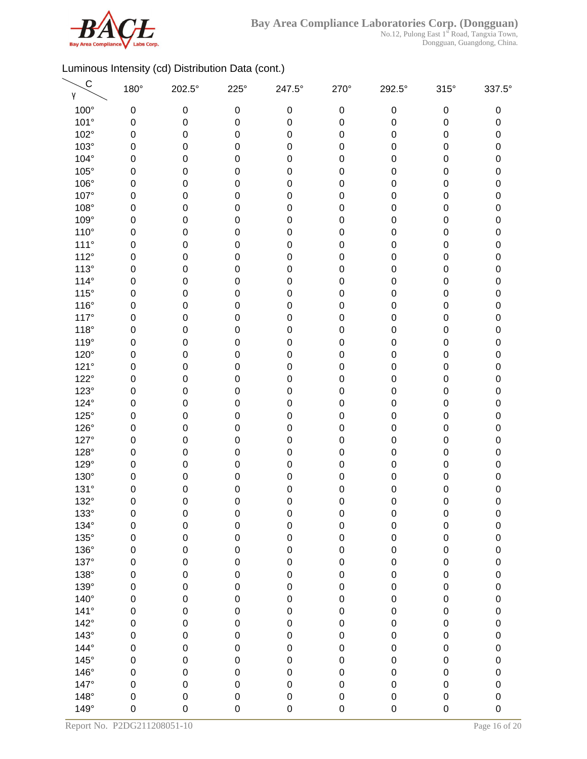

| $\mathsf{C}$<br>γ | 180°        | 202.5°           | $225^\circ$      | 247.5°           | $270^\circ$ | 292.5°      | $315^\circ$      | 337.5°              |
|-------------------|-------------|------------------|------------------|------------------|-------------|-------------|------------------|---------------------|
| 100°              | 0           | 0                | $\boldsymbol{0}$ | $\boldsymbol{0}$ | $\pmb{0}$   | $\pmb{0}$   | $\pmb{0}$        | 0                   |
| 101°              | 0           | $\boldsymbol{0}$ | 0                | $\mathbf 0$      | $\pmb{0}$   | 0           | 0                | 0                   |
| 102°              | 0           | 0                | $\boldsymbol{0}$ | 0                | $\pmb{0}$   | 0           | 0                | 0                   |
| $103^\circ$       | 0           | 0                | 0                | 0                | $\pmb{0}$   | 0           | $\mathbf 0$      | 0                   |
| 104°              | 0           | 0                | 0                | 0                | $\pmb{0}$   | 0           | 0                | 0                   |
| $105^\circ$       | 0           | 0                | 0                | 0                | $\pmb{0}$   | 0           | $\boldsymbol{0}$ | 0                   |
| 106°              | 0           | 0                | $\boldsymbol{0}$ | 0                | $\pmb{0}$   | 0           | $\pmb{0}$        | 0                   |
| 107°              | $\mathbf 0$ | 0                | 0                | 0                | $\mathbf 0$ | 0           | $\pmb{0}$        | $\pmb{0}$           |
| 108°              | 0           | $\pmb{0}$        | 0                | 0                | $\mathbf 0$ | 0           | $\pmb{0}$        | 0                   |
| 109°              | 0           | 0                | 0                | 0                | $\mathbf 0$ | 0           | 0                | $\mathsf{O}\xspace$ |
| $110^{\circ}$     | 0           | 0                | $\boldsymbol{0}$ | 0                | $\mathbf 0$ | 0           | 0                | 0                   |
| $111^\circ$       | 0           | 0                | 0                | 0                | $\mathbf 0$ | 0           | $\mathbf 0$      | 0                   |
| 112°              | 0           | 0                | 0                | 0                | $\mathbf 0$ | 0           | 0                | 0                   |
| $113^\circ$       | 0           | 0                | 0                | 0                | $\mathbf 0$ | 0           | $\mathbf 0$      | 0                   |
| $114^\circ$       | 0           | 0                | $\boldsymbol{0}$ | 0                | $\mathbf 0$ | 0           | 0                | 0                   |
| $115^\circ$       | $\mathbf 0$ | 0                | $\pmb{0}$        | 0                | $\pmb{0}$   | 0           | $\pmb{0}$        | $\pmb{0}$           |
| $116^\circ$       | 0           | 0                | 0                | 0                | $\mathbf 0$ | 0           | $\pmb{0}$        | 0                   |
| $117^\circ$       | 0           | 0                | 0                | 0                | $\mathbf 0$ | 0           | 0                | $\pmb{0}$           |
| $118^\circ$       | 0           | 0                | $\boldsymbol{0}$ | 0                | $\mathbf 0$ | 0           | 0                | 0                   |
| 119°              | 0           | 0                | 0                | 0                | $\mathbf 0$ | 0           | 0                | 0                   |
| 120°              | 0           | 0                | 0                | 0                | $\mathbf 0$ | 0           | 0                | 0                   |
| 121°              | 0           | 0                | 0                | 0                | $\mathbf 0$ | 0           | $\mathbf 0$      | 0                   |
| $122^\circ$       | $\mathbf 0$ | 0                | $\boldsymbol{0}$ | 0                | $\mathbf 0$ | 0           | $\pmb{0}$        | 0                   |
| $123^\circ$       | 0           | $\mathbf 0$      | 0                | 0                | $\mathbf 0$ | 0           | $\pmb{0}$        | $\pmb{0}$           |
| 124°              | 0           | $\pmb{0}$        | 0                | 0                | $\mathbf 0$ | 0           | $\pmb{0}$        | $\pmb{0}$           |
| $125^\circ$       | 0           | 0                | 0                | 0                | $\pmb{0}$   | 0           | 0                | $\pmb{0}$           |
| 126°              | 0           | 0                | $\boldsymbol{0}$ | 0                | $\pmb{0}$   | 0           | 0                | 0                   |
| 127°              | 0           | 0                | 0                | 0                | $\mathbf 0$ | 0           | $\mathbf 0$      | 0                   |
| 128°              | 0           | 0                | 0                | 0                | $\mathbf 0$ | 0           | 0                | 0                   |
| 129°              | 0           | 0                | 0                | 0                | $\pmb{0}$   | 0           | $\mathbf 0$      | 0                   |
| 130°              | 0           | 0                | $\mathbf 0$      | 0                | 0           | 0           | 0                | 0                   |
| 131°              | $\mathbf 0$ | 0                | $\mathbf 0$      | 0                | $\mathbf 0$ | 0           | 0                | 0                   |
| 132°              | $\mathbf 0$ | 0                | $\mathbf 0$      | 0                | 0           | 0           | 0                | 0                   |
| 133°              | 0           | 0                | $\boldsymbol{0}$ | 0                | $\pmb{0}$   | $\mathbf 0$ | $\pmb{0}$        | $\pmb{0}$           |
| 134°              | 0           | $\pmb{0}$        | $\mathbf 0$      | $\mathsf 0$      | $\mathbf 0$ | 0           | $\pmb{0}$        | 0                   |
| $135^\circ$       | $\mathbf 0$ | $\pmb{0}$        | $\mathbf 0$      | $\mathsf 0$      | $\mathbf 0$ | 0           | $\pmb{0}$        | $\pmb{0}$           |
| 136°              | 0           | $\pmb{0}$        | $\mathbf 0$      | $\mathsf 0$      | $\pmb{0}$   | 0           | $\pmb{0}$        | 0                   |
| 137°              | $\mathbf 0$ | $\pmb{0}$        | $\mathbf 0$      | $\mathsf 0$      | $\pmb{0}$   | 0           | $\pmb{0}$        | $\mathbf 0$         |
| 138°              | $\mathbf 0$ | $\pmb{0}$        | $\mathbf 0$      | $\mathbf 0$      | $\pmb{0}$   | 0           | $\pmb{0}$        | $\mathbf 0$         |
| 139°              | $\mathbf 0$ | $\mathbf 0$      | $\mathbf 0$      | $\mathsf 0$      | $\pmb{0}$   | 0           | $\mathbf 0$      | $\mathbf 0$         |
| $140^\circ$       | $\mathbf 0$ | $\mathbf 0$      | $\mathbf 0$      | $\mathsf 0$      | $\pmb{0}$   | 0           | $\pmb{0}$        | $\pmb{0}$           |
| $141^\circ$       | $\mathsf 0$ | $\mathbf 0$      | $\mathbf 0$      | $\mathbf 0$      | $\pmb{0}$   | 0           | $\mathbf 0$      | $\mathbf 0$         |
| $142^\circ$       | $\mathbf 0$ | 0                | $\mathbf 0$      | $\mathsf 0$      | $\mathbf 0$ | 0           | $\pmb{0}$        | $\pmb{0}$           |
| $143^\circ$       | $\mathbf 0$ | $\pmb{0}$        | $\mathbf 0$      | $\mathsf 0$      | $\pmb{0}$   | 0           | $\pmb{0}$        | $\pmb{0}$           |
| 144°              | $\mathbf 0$ | $\pmb{0}$        | $\mathbf 0$      | $\mathsf 0$      | $\mathbf 0$ | 0           | $\pmb{0}$        | 0                   |
| $145^\circ$       | $\mathbf 0$ | $\pmb{0}$        | $\mathbf 0$      | $\mathbf 0$      | $\pmb{0}$   | 0           | $\mathbf 0$      | 0                   |
| 146°              | $\mathbf 0$ | $\pmb{0}$        | $\mathbf 0$      | $\mathsf 0$      | $\pmb{0}$   | 0           | $\pmb{0}$        | 0                   |
| 147°              | $\mathbf 0$ | $\mathbf 0$      | $\mathbf 0$      | $\mathsf 0$      | $\pmb{0}$   | 0           | $\mathbf 0$      | $\mathbf 0$         |
| $148^\circ$       | $\mathbf 0$ | $\mathbf 0$      | $\pmb{0}$        | $\mathsf 0$      | $\pmb{0}$   | 0           | $\mathbf 0$      | $\pmb{0}$           |
| 149°              | $\mathbf 0$ | 0                | $\mathsf 0$      | 0                | $\mathbf 0$ | 0           | $\mathbf 0$      | $\mathbf 0$         |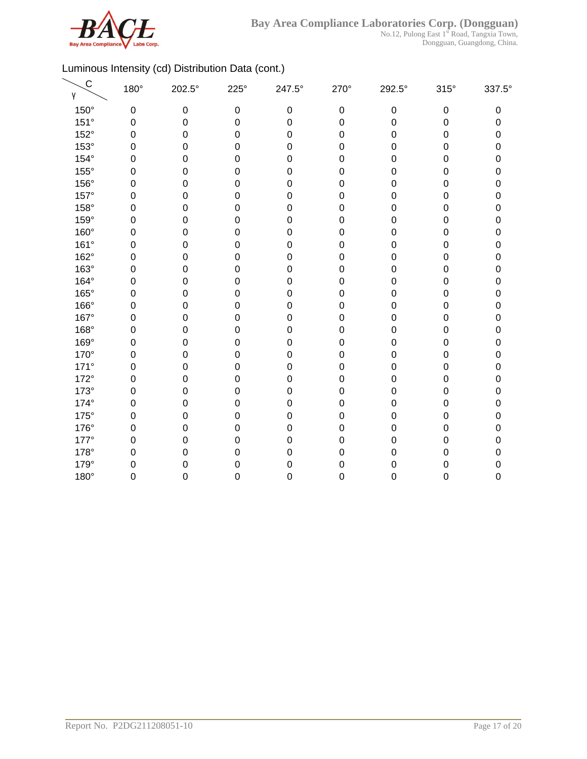

| $\mathsf C$<br>γ | 180°        | 202.5°    | $225^\circ$      | 247.5°           | 270°             | 292.5°    | $315^\circ$      | 337.5° |
|------------------|-------------|-----------|------------------|------------------|------------------|-----------|------------------|--------|
| 150°             | $\mathbf 0$ | $\pmb{0}$ | $\boldsymbol{0}$ | $\pmb{0}$        | $\mathbf 0$      | $\pmb{0}$ | $\pmb{0}$        | 0      |
| 151°             | $\mathbf 0$ | 0         | $\mathbf 0$      | $\boldsymbol{0}$ | $\mathbf 0$      | 0         | $\boldsymbol{0}$ | 0      |
| 152°             | $\mathbf 0$ | 0         | $\mathbf 0$      | $\boldsymbol{0}$ | $\mathbf 0$      | 0         | $\boldsymbol{0}$ | 0      |
| 153°             | $\mathbf 0$ | 0         | $\mathbf 0$      | $\boldsymbol{0}$ | $\boldsymbol{0}$ | 0         | $\mathbf 0$      | 0      |
| $154^\circ$      | $\mathbf 0$ | 0         | $\mathbf 0$      | $\boldsymbol{0}$ | $\boldsymbol{0}$ | 0         | $\mathbf 0$      | 0      |
| 155°             | $\mathbf 0$ | 0         | $\mathbf 0$      | $\boldsymbol{0}$ | $\boldsymbol{0}$ | 0         | $\mathbf 0$      | 0      |
| 156°             | $\mathbf 0$ | 0         | $\mathbf 0$      | $\mathbf 0$      | $\mathbf 0$      | 0         | $\mathbf 0$      | 0      |
| 157°             | $\mathbf 0$ | 0         | 0                | $\mathbf 0$      | $\boldsymbol{0}$ | 0         | 0                | 0      |
| 158°             | $\mathbf 0$ | 0         | 0                | $\boldsymbol{0}$ | $\boldsymbol{0}$ | 0         | 0                | 0      |
| 159°             | 0           | 0         | 0                | $\boldsymbol{0}$ | 0                | 0         | 0                | 0      |
| 160°             | $\mathbf 0$ | 0         | $\mathbf 0$      | $\boldsymbol{0}$ | $\pmb{0}$        | 0         | $\mathbf 0$      | 0      |
| 161°             | $\mathbf 0$ | 0         | $\mathbf 0$      | $\boldsymbol{0}$ | $\mathbf 0$      | 0         | 0                | 0      |
| 162°             | $\mathbf 0$ | 0         | $\mathbf 0$      | $\mathbf 0$      | $\mathbf 0$      | 0         | 0                | 0      |
| 163°             | $\mathbf 0$ | 0         | $\mathbf 0$      | $\mathbf 0$      | $\mathbf 0$      | 0         | $\mathbf 0$      | 0      |
| 164°             | $\mathbf 0$ | 0         | $\mathbf 0$      | $\mathbf 0$      | $\mathbf 0$      | 0         | $\boldsymbol{0}$ | 0      |
| 165°             | $\mathbf 0$ | 0         | $\mathbf 0$      | $\mathbf 0$      | $\pmb{0}$        | 0         | 0                | 0      |
| 166°             | $\mathbf 0$ | 0         | $\mathbf 0$      | $\boldsymbol{0}$ | $\mathbf 0$      | 0         | $\mathbf 0$      | 0      |
| 167°             | $\mathbf 0$ | 0         | $\boldsymbol{0}$ | $\boldsymbol{0}$ | $\mathbf 0$      | 0         | $\mathbf 0$      | 0      |
| 168°             | $\mathbf 0$ | 0         | $\boldsymbol{0}$ | $\mathbf 0$      | $\pmb{0}$        | 0         | $\boldsymbol{0}$ | 0      |
| 169°             | $\mathbf 0$ | 0         | $\boldsymbol{0}$ | $\mathbf 0$      | $\boldsymbol{0}$ | 0         | $\mathbf 0$      | 0      |
| 170°             | $\mathbf 0$ | 0         | $\mathbf 0$      | $\boldsymbol{0}$ | $\boldsymbol{0}$ | 0         | 0                | 0      |
| $171^\circ$      | 0           | 0         | $\mathbf 0$      | $\mathbf 0$      | $\boldsymbol{0}$ | 0         | $\mathbf 0$      | 0      |
| 172°             | $\mathbf 0$ | 0         | $\mathbf 0$      | $\boldsymbol{0}$ | $\mathbf 0$      | 0         | $\mathbf 0$      | 0      |
| $173^\circ$      | 0           | 0         | 0                | $\mathbf 0$      | $\boldsymbol{0}$ | 0         | 0                | 0      |
| 174°             | $\mathbf 0$ | 0         | $\mathbf 0$      | $\boldsymbol{0}$ | $\boldsymbol{0}$ | 0         | $\boldsymbol{0}$ | 0      |
| $175^\circ$      | $\mathbf 0$ | 0         | $\mathbf 0$      | $\mathbf 0$      | $\mathbf 0$      | 0         | $\boldsymbol{0}$ | 0      |
| 176°             | $\mathbf 0$ | 0         | $\mathbf 0$      | $\boldsymbol{0}$ | $\mathbf 0$      | 0         | $\boldsymbol{0}$ | 0      |
| 177°             | $\mathbf 0$ | 0         | $\mathbf 0$      | $\mathbf 0$      | $\boldsymbol{0}$ | 0         | 0                | 0      |
| 178°             | $\mathbf 0$ | 0         | 0                | $\boldsymbol{0}$ | $\boldsymbol{0}$ | 0         | $\mathbf 0$      | 0      |
| 179°             | 0           | 0         | 0                | $\mathbf 0$      | 0                | 0         | $\mathbf 0$      | 0      |
| 180°             | 0           | 0         | 0                | $\mathbf 0$      | 0                | 0         | $\boldsymbol{0}$ | 0      |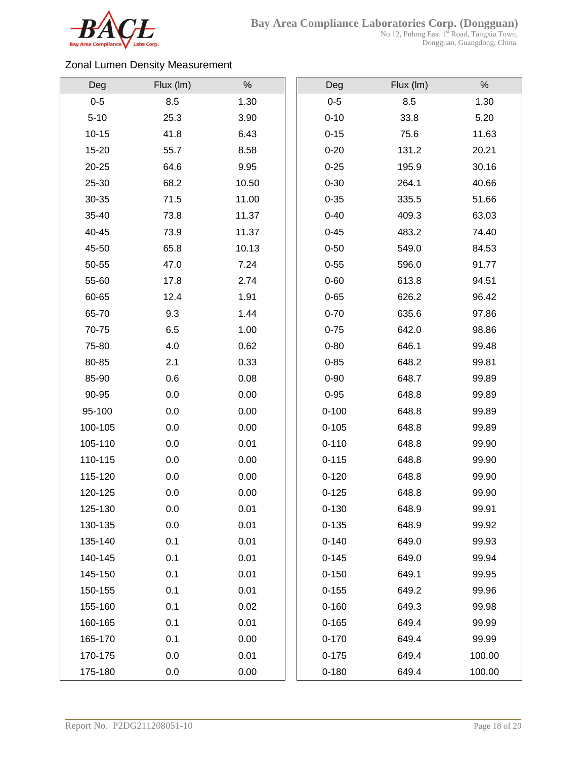

### Zonal Lumen Density Measurement

| Deg       | Flux (Im) | $\%$  | Deg       | Flux (Im) | $\%$   |
|-----------|-----------|-------|-----------|-----------|--------|
| $0 - 5$   | 8.5       | 1.30  | $0-5$     | 8.5       | 1.30   |
| $5 - 10$  | 25.3      | 3.90  | $0 - 10$  | 33.8      | 5.20   |
| $10 - 15$ | 41.8      | 6.43  | $0 - 15$  | 75.6      | 11.63  |
| 15-20     | 55.7      | 8.58  | $0 - 20$  | 131.2     | 20.21  |
| 20-25     | 64.6      | 9.95  | $0 - 25$  | 195.9     | 30.16  |
| 25-30     | 68.2      | 10.50 | $0 - 30$  | 264.1     | 40.66  |
| 30-35     | 71.5      | 11.00 | $0 - 35$  | 335.5     | 51.66  |
| 35-40     | 73.8      | 11.37 | $0 - 40$  | 409.3     | 63.03  |
| 40-45     | 73.9      | 11.37 | $0 - 45$  | 483.2     | 74.40  |
| 45-50     | 65.8      | 10.13 | $0 - 50$  | 549.0     | 84.53  |
| 50-55     | 47.0      | 7.24  | $0 - 55$  | 596.0     | 91.77  |
| 55-60     | 17.8      | 2.74  | $0 - 60$  | 613.8     | 94.51  |
| 60-65     | 12.4      | 1.91  | $0 - 65$  | 626.2     | 96.42  |
| 65-70     | 9.3       | 1.44  | $0 - 70$  | 635.6     | 97.86  |
| 70-75     | 6.5       | 1.00  | $0 - 75$  | 642.0     | 98.86  |
| 75-80     | 4.0       | 0.62  | $0 - 80$  | 646.1     | 99.48  |
| 80-85     | 2.1       | 0.33  | $0 - 85$  | 648.2     | 99.81  |
| 85-90     | 0.6       | 0.08  | $0 - 90$  | 648.7     | 99.89  |
| 90-95     | 0.0       | 0.00  | $0 - 95$  | 648.8     | 99.89  |
| 95-100    | 0.0       | 0.00  | $0 - 100$ | 648.8     | 99.89  |
| 100-105   | 0.0       | 0.00  | $0 - 105$ | 648.8     | 99.89  |
| 105-110   | 0.0       | 0.01  | $0 - 110$ | 648.8     | 99.90  |
| 110-115   | 0.0       | 0.00  | $0 - 115$ | 648.8     | 99.90  |
| 115-120   | 0.0       | 0.00  | $0 - 120$ | 648.8     | 99.90  |
| 120-125   | 0.0       | 0.00  | $0 - 125$ | 648.8     | 99.90  |
| 125-130   | 0.0       | 0.01  | $0 - 130$ | 648.9     | 99.91  |
| 130-135   | 0.0       | 0.01  | $0 - 135$ | 648.9     | 99.92  |
| 135-140   | 0.1       | 0.01  | $0 - 140$ | 649.0     | 99.93  |
| 140-145   | 0.1       | 0.01  | $0 - 145$ | 649.0     | 99.94  |
| 145-150   | 0.1       | 0.01  | $0 - 150$ | 649.1     | 99.95  |
| 150-155   | 0.1       | 0.01  | $0 - 155$ | 649.2     | 99.96  |
| 155-160   | 0.1       | 0.02  | $0 - 160$ | 649.3     | 99.98  |
| 160-165   | 0.1       | 0.01  | $0 - 165$ | 649.4     | 99.99  |
| 165-170   | 0.1       | 0.00  | $0 - 170$ | 649.4     | 99.99  |
| 170-175   | 0.0       | 0.01  | $0 - 175$ | 649.4     | 100.00 |
| 175-180   | 0.0       | 0.00  | $0 - 180$ | 649.4     | 100.00 |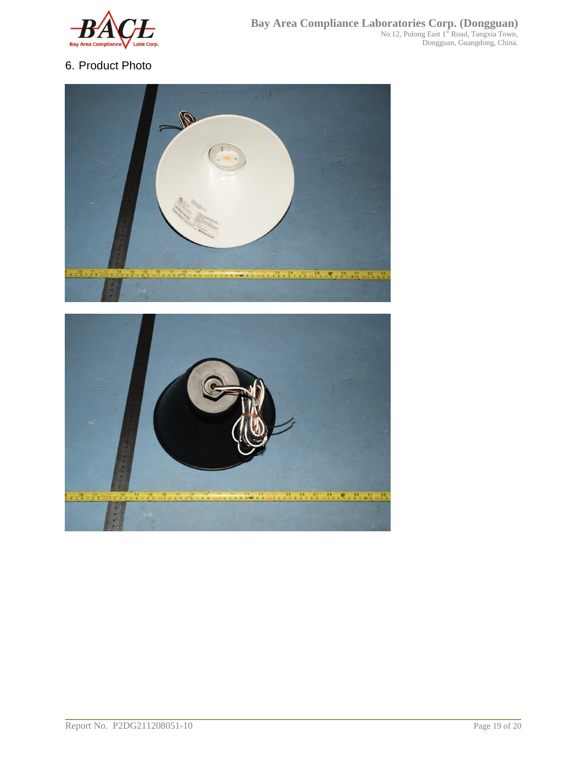

## 6. Product Photo